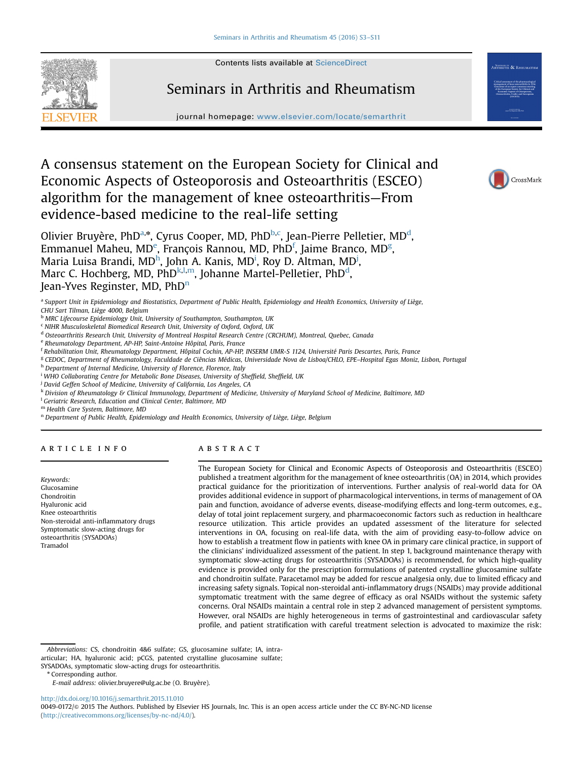Seminars in Arthritis and Rheumatism





# journal homepage: <www.elsevier.com/locate/semarthrit>

# A consensus statement on the European Society for Clinical and Economic Aspects of Osteoporosis and Osteoarthritis (ESCEO) algorithm for the management of knee osteoarthritis—From evidence-based medicine to the real-life setting



Olivier Bruyère, PhD<sup>a,\*</sup>, Cyrus Cooper, MD, PhD<sup>b,c</sup>, Jean-Pierre Pelletier, MD<sup>d</sup>, Emmanuel Maheu, MD<sup>e</sup>, François Rannou, MD, PhD<sup>f</sup>, Jaime Branco, MD<sup>g</sup>, Maria Luisa Brandi, MD<sup>h</sup>, John A. Kanis, MD<sup>i</sup>, Roy D. Altman, MD<sup>j</sup>, Marc C. Hochberg, MD, PhDk,l,m, Johanne Martel-Pelletier, PhD<sup>d</sup>, Jean-Yves Reginster, MD, PhD<sup>n</sup>

a Support Unit in Epidemiology and Biostatistics, Department of Public Health, Epidemiology and Health Economics, University of Liège, CHU Sart Tilman, Liège 4000, Belgium

**b MRC Lifecourse Epidemiology Unit, University of Southampton, Southampton, UK** 

<sup>c</sup> NIHR Musculoskeletal Biomedical Research Unit, University of Oxford, Oxford, UK

<sup>d</sup> Osteoarthritis Research Unit, University of Montreal Hospital Research Centre (CRCHUM), Montreal, Quebec, Canada

<sup>e</sup> Rheumatology Department, AP-HP, Saint-Antoine Hôpital, Paris, France

<sup>f</sup> Rehabilitation Unit, Rheumatology Department, Hôpital Cochin, AP-HP, INSERM UMR-S 1124, Université Paris Descartes, Paris, France

<sup>g</sup> CEDOC, Department of Rheumatology, Faculdade de Ciências Médicas, Universidade Nova de Lisboa/CHLO, EPE–Hospital Egas Moniz, Lisbon, Portugal

h Department of Internal Medicine, University of Florence, Florence, Italy

<sup>i</sup> WHO Collaborating Centre for Metabolic Bone Diseases, University of Sheffield, Sheffield, UK

<sup>i</sup> David Geffen School of Medicine, University of California, Los Angeles, CA

k Division of Rheumatology & Clinical Immunology, Department of Medicine, University of Maryland School of Medicine, Baltimore, MD

<sup>1</sup> Geriatric Research, Education and Clinical Center, Baltimore, MD

<sup>m</sup> Health Care System, Baltimore, MD

<sup>n</sup> Department of Public Health, Epidemiology and Health Economics, University of Liège, Liège, Belgium

# article info

Keywords: Glucosamine Chondroitin Hyaluronic acid Knee osteoarthritis Non-steroidal anti-inflammatory drugs Symptomatic slow-acting drugs for osteoarthritis (SYSADOAs) Tramadol

# ABSTRACT

The European Society for Clinical and Economic Aspects of Osteoporosis and Osteoarthritis (ESCEO) published a treatment algorithm for the management of knee osteoarthritis (OA) in 2014, which provides practical guidance for the prioritization of interventions. Further analysis of real-world data for OA provides additional evidence in support of pharmacological interventions, in terms of management of OA pain and function, avoidance of adverse events, disease-modifying effects and long-term outcomes, e.g., delay of total joint replacement surgery, and pharmacoeconomic factors such as reduction in healthcare resource utilization. This article provides an updated assessment of the literature for selected interventions in OA, focusing on real-life data, with the aim of providing easy-to-follow advice on how to establish a treatment flow in patients with knee OA in primary care clinical practice, in support of the clinicians' individualized assessment of the patient. In step 1, background maintenance therapy with symptomatic slow-acting drugs for osteoarthritis (SYSADOAs) is recommended, for which high-quality evidence is provided only for the prescription formulations of patented crystalline glucosamine sulfate and chondroitin sulfate. Paracetamol may be added for rescue analgesia only, due to limited efficacy and increasing safety signals. Topical non-steroidal anti-inflammatory drugs (NSAIDs) may provide additional symptomatic treatment with the same degree of efficacy as oral NSAIDs without the systemic safety concerns. Oral NSAIDs maintain a central role in step 2 advanced management of persistent symptoms. However, oral NSAIDs are highly heterogeneous in terms of gastrointestinal and cardiovascular safety profile, and patient stratification with careful treatment selection is advocated to maximize the risk:

[http://dx.doi.org/10.1016/j.semarthrit.2015.11.010](dx.doi.org/10.1016/j.semarthrit.2015.11.010)

0049-0172/& 2015 The Authors. Published by Elsevier HS Journals, Inc. This is an open access article under the CC BY-NC-ND license (http://creativecommons.org/licenses/by-nc-nd/4.0/).

Abbreviations: CS, chondroitin 4&6 sulfate; GS, glucosamine sulfate; IA, intraarticular; HA, hyaluronic acid; pCGS, patented crystalline glucosamine sulfate;

SYSADOAs, symptomatic slow-acting drugs for osteoarthritis.

<sup>\*</sup> Corresponding author.

E-mail address: [olivier.bruyere@ulg.ac.be \(O. Bruyère\)](mailto:olivier.bruyere@ulg.ac.be).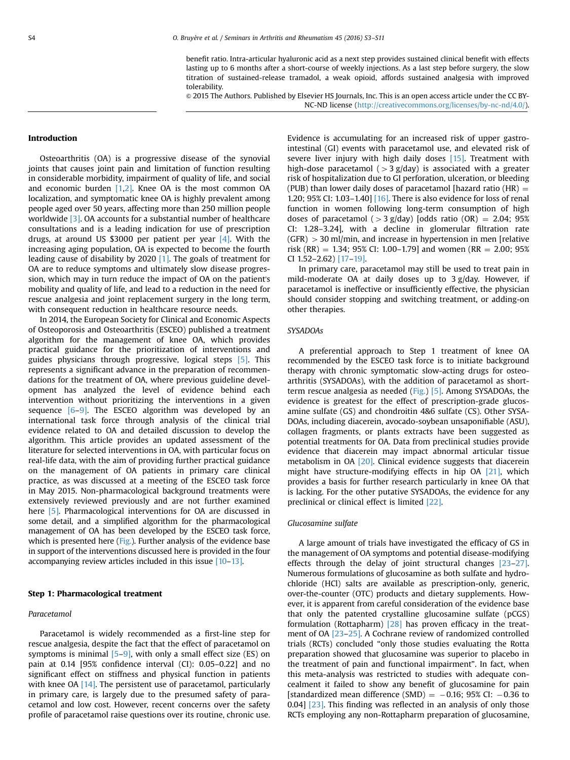benefit ratio. Intra-articular hyaluronic acid as a next step provides sustained clinical benefit with effects lasting up to 6 months after a short-course of weekly injections. As a last step before surgery, the slow titration of sustained-release tramadol, a weak opioid, affords sustained analgesia with improved tolerability.

& 2015 The Authors. Published by Elsevier HS Journals, Inc. This is an open access article under the CC BY-NC-ND license (http://creativecommons.org/licenses/by-nc-nd/4.0/).

#### Introduction

Osteoarthritis (OA) is a progressive disease of the synovial joints that causes joint pain and limitation of function resulting in considerable morbidity, impairment of quality of life, and social and economic burden  $[1,2]$  $[1,2]$ . Knee OA is the most common OA localization, and symptomatic knee OA is highly prevalent among people aged over 50 years, affecting more than 250 million people worldwide [\[3\].](#page-5-0) OA accounts for a substantial number of healthcare consultations and is a leading indication for use of prescription drugs, at around US \$3000 per patient per year  $[4]$ . With the increasing aging population, OA is expected to become the fourth leading cause of disability by 2020 [\[1\]](#page-5-0). The goals of treatment for OA are to reduce symptoms and ultimately slow disease progression, which may in turn reduce the impact of OA on the patient's mobility and quality of life, and lead to a reduction in the need for rescue analgesia and joint replacement surgery in the long term, with consequent reduction in healthcare resource needs.

In 2014, the European Society for Clinical and Economic Aspects of Osteoporosis and Osteoarthritis (ESCEO) published a treatment algorithm for the management of knee OA, which provides practical guidance for the prioritization of interventions and guides physicians through progressive, logical steps [\[5\]](#page-6-0). This represents a significant advance in the preparation of recommendations for the treatment of OA, where previous guideline development has analyzed the level of evidence behind each intervention without prioritizing the interventions in a given sequence  $[6-9]$  $[6-9]$ . The ESCEO algorithm was developed by an international task force through analysis of the clinical trial evidence related to OA and detailed discussion to develop the algorithm. This article provides an updated assessment of the literature for selected interventions in OA, with particular focus on real-life data, with the aim of providing further practical guidance on the management of OA patients in primary care clinical practice, as was discussed at a meeting of the ESCEO task force in May 2015. Non-pharmacological background treatments were extensively reviewed previously and are not further examined here [\[5\]](#page-6-0). Pharmacological interventions for OA are discussed in some detail, and a simplified algorithm for the pharmacological management of OA has been developed by the ESCEO task force, which is presented here [\(Fig.\)](#page-2-0). Further analysis of the evidence base in support of the interventions discussed here is provided in the four accompanying review articles included in this issue [\[10](#page-6-0)–[13\]](#page-6-0).

#### Step 1: Pharmacological treatment

#### Paracetamol

Paracetamol is widely recommended as a first-line step for rescue analgesia, despite the fact that the effect of paracetamol on symptoms is minimal  $[5-9]$  $[5-9]$  $[5-9]$ , with only a small effect size (ES) on pain at 0.14 [95% confidence interval (CI): 0.05–0.22] and no significant effect on stiffness and physical function in patients with knee OA  $[14]$ . The persistent use of paracetamol, particularly in primary care, is largely due to the presumed safety of paracetamol and low cost. However, recent concerns over the safety profile of paracetamol raise questions over its routine, chronic use.

Evidence is accumulating for an increased risk of upper gastrointestinal (GI) events with paracetamol use, and elevated risk of severe liver injury with high daily doses [\[15\].](#page-6-0) Treatment with high-dose paracetamol ( $>$ 3 g/day) is associated with a greater risk of hospitalization due to GI perforation, ulceration, or bleeding (PUB) than lower daily doses of paracetamol [hazard ratio (HR)  $=$ 1.20; 95% CI: 1.03–1.40] [\[16\].](#page-6-0) There is also evidence for loss of renal function in women following long-term consumption of high doses of paracetamol ( $>$ 3 g/day) [odds ratio (OR) = 2.04; 95% CI: 1.28–3.24], with a decline in glomerular filtration rate  $(GFR)$   $>$  30 ml/min, and increase in hypertension in men [relative risk (RR) = 1.34; 95% CI: 1.00–1.79] and women (RR = 2.00; 95% CI 1.52–2.62) [\[17](#page-6-0)–[19\]](#page-6-0).

In primary care, paracetamol may still be used to treat pain in mild-moderate OA at daily doses up to 3 g/day. However, if paracetamol is ineffective or insufficiently effective, the physician should consider stopping and switching treatment, or adding-on other therapies.

### SYSADOAs

A preferential approach to Step 1 treatment of knee OA recommended by the ESCEO task force is to initiate background therapy with chronic symptomatic slow-acting drugs for osteoarthritis (SYSADOAs), with the addition of paracetamol as shortterm rescue analgesia as needed [\(Fig.](#page-2-0)) [\[5\]](#page-6-0). Among SYSADOAs, the evidence is greatest for the effect of prescription-grade glucosamine sulfate (GS) and chondroitin 4&6 sulfate (CS). Other SYSA-DOAs, including diacerein, avocado-soybean unsaponifiable (ASU), collagen fragments, or plants extracts have been suggested as potential treatments for OA. Data from preclinical studies provide evidence that diacerein may impact abnormal articular tissue metabolism in OA [\[20\].](#page-6-0) Clinical evidence suggests that diacerein might have structure-modifying effects in hip OA [\[21\]](#page-6-0), which provides a basis for further research particularly in knee OA that is lacking. For the other putative SYSADOAs, the evidence for any preclinical or clinical effect is limited [\[22\].](#page-6-0)

#### Glucosamine sulfate

A large amount of trials have investigated the efficacy of GS in the management of OA symptoms and potential disease-modifying effects through the delay of joint structural changes [\[23](#page-6-0)–[27\].](#page-6-0) Numerous formulations of glucosamine as both sulfate and hydrochloride (HCl) salts are available as prescription-only, generic, over-the-counter (OTC) products and dietary supplements. However, it is apparent from careful consideration of the evidence base that only the patented crystalline glucosamine sulfate (pCGS) formulation (Rottapharm) [\[28\]](#page-6-0) has proven efficacy in the treatment of OA [\[23](#page-6-0)–[25\].](#page-6-0) A Cochrane review of randomized controlled trials (RCTs) concluded "only those studies evaluating the Rotta preparation showed that glucosamine was superior to placebo in the treatment of pain and functional impairment". In fact, when this meta-analysis was restricted to studies with adequate concealment it failed to show any benefit of glucosamine for pain [standardized mean difference (SMD)  $=$   $-0.16$ ; 95% CI:  $-0.36$  to 0.04] [\[23\]](#page-6-0). This finding was reflected in an analysis of only those RCTs employing any non-Rottapharm preparation of glucosamine,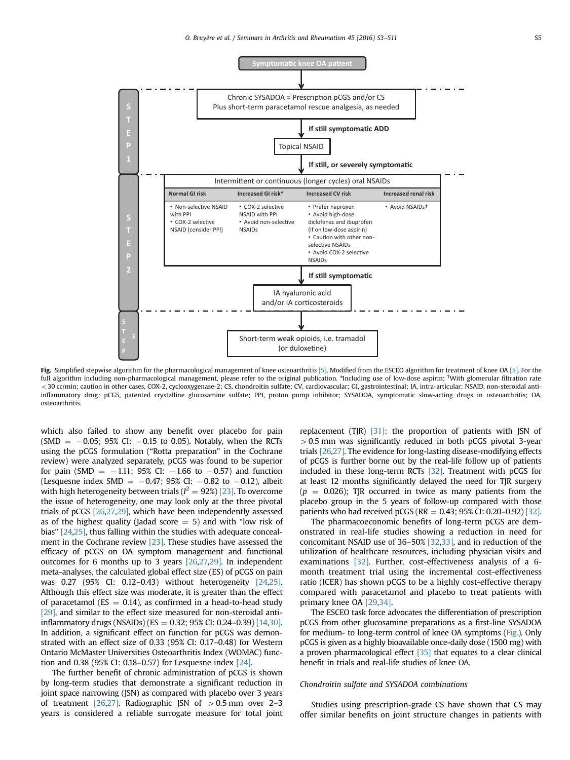<span id="page-2-0"></span>

Fig. Simplified stepwise algorithm for the pharmacological management of knee osteoarthritis [\[5\]](#page-6-0). Modified from the ESCEO algorithm for treatment of knee OA [\[5\].](#page-6-0) For the full algorithm including non-pharmacological management, please refer to the original publication. \*Including use of low-dose aspirin; <sup>†</sup>With glomerular filtration rate < 30 cc/min; caution in other cases, COX-2, cyclooxygenase-2; CS, chondroitin sulfate; CV, cardiovascular; GI, gastrointestinal; IA, intra-articular; NSAID, non-steroidal antiinflammatory drug; pCGS, patented crystalline glucosamine sulfate; PPI, proton pump inhibitor; SYSADOA, symptomatic slow-acting drugs in osteoarthritis; OA, osteoarthritis.

which also failed to show any benefit over placebo for pain  $(SMD = -0.05; 95\% CI: -0.15$  to 0.05). Notably, when the RCTs using the pCGS formulation ("Rotta preparation" in the Cochrane review) were analyzed separately, pCGS was found to be superior for pain (SMD  $=$   $-1.11$ ; 95% CI:  $-1.66$  to  $-0.57$ ) and function (Lesquesne index SMD =  $-0.47$ ; 95% CI:  $-0.82$  to  $-0.12$ ), albeit with high heterogeneity between trials ( $l^2 = 92\%)$  [\[23\].](#page-6-0) To overcome the issue of heterogeneity, one may look only at the three pivotal trials of pCGS [\[26,27,29\],](#page-6-0) which have been independently assessed as of the highest quality (Jadad score  $=$  5) and with "low risk of bias" [\[24,25\]](#page-6-0), thus falling within the studies with adequate concealment in the Cochrane review [\[23\]](#page-6-0). These studies have assessed the efficacy of pCGS on OA symptom management and functional outcomes for 6 months up to 3 years [\[26,27,29\].](#page-6-0) In independent meta-analyses, the calculated global effect size (ES) of pCGS on pain was 0.27 (95% CI: 0.12–0.43) without heterogeneity [\[24,25\].](#page-6-0) Although this effect size was moderate, it is greater than the effect of paracetamol ( $ES = 0.14$ ), as confirmed in a head-to-head study [\[29\],](#page-6-0) and similar to the effect size measured for non-steroidal anti-inflammatory drugs (NSAIDs) (ES = 0.32; 95% CI: 0.24-0.39) [\[14,30\].](#page-6-0) In addition, a significant effect on function for pCGS was demonstrated with an effect size of 0.33 (95% CI: 0.17–0.48) for Western Ontario McMaster Universities Osteoarthritis Index (WOMAC) function and 0.38 (95% CI: 0.18–0.57) for Lesquesne index [\[24\]](#page-6-0).

The further benefit of chronic administration of pCGS is shown by long-term studies that demonstrate a significant reduction in joint space narrowing (JSN) as compared with placebo over 3 years of treatment  $[26,27]$ . Radiographic JSN of  $> 0.5$  mm over 2–3 years is considered a reliable surrogate measure for total joint replacement (TJR)  $[31]$ : the proportion of patients with JSN of  $> 0.5$  mm was significantly reduced in both pCGS pivotal 3-year trials [\[26](#page-6-0),[27\].](#page-6-0) The evidence for long-lasting disease-modifying effects of pCGS is further borne out by the real-life follow up of patients included in these long-term RCTs [\[32\]](#page-6-0). Treatment with pCGS for at least 12 months significantly delayed the need for TJR surgery  $(p = 0.026)$ ; TJR occurred in twice as many patients from the placebo group in the 5 years of follow-up compared with those patients who had received pCGS (RR =  $0.43$ ; 95% CI: 0.20-0.92) [\[32\].](#page-6-0)

The pharmacoeconomic benefits of long-term pCGS are demonstrated in real-life studies showing a reduction in need for concomitant NSAID use of 36–50% [\[32](#page-6-0),[33\]](#page-6-0), and in reduction of the utilization of healthcare resources, including physician visits and examinations [\[32\]](#page-6-0). Further, cost-effectiveness analysis of a 6month treatment trial using the incremental cost-effectiveness ratio (ICER) has shown pCGS to be a highly cost-effective therapy compared with paracetamol and placebo to treat patients with primary knee OA [\[29,34\].](#page-6-0)

The ESCEO task force advocates the differentiation of prescription pCGS from other glucosamine preparations as a first-line SYSADOA for medium- to long-term control of knee OA symptoms (Fig.). Only pCGS is given as a highly bioavailable once-daily dose (1500 mg) with a proven pharmacological effect  $[35]$  that equates to a clear clinical benefit in trials and real-life studies of knee OA.

#### Chondroitin sulfate and SYSADOA combinations

Studies using prescription-grade CS have shown that CS may offer similar benefits on joint structure changes in patients with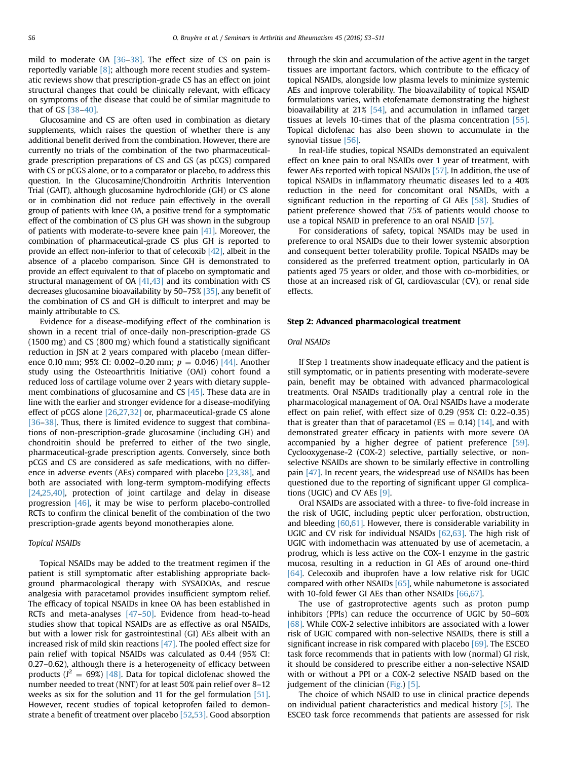mild to moderate OA [\[36](#page-6-0)–[38\]](#page-6-0). The effect size of CS on pain is reportedly variable  $[8]$ ; although more recent studies and systematic reviews show that prescription-grade CS has an effect on joint structural changes that could be clinically relevant, with efficacy on symptoms of the disease that could be of similar magnitude to that of GS [\[38](#page-6-0)–[40\]](#page-6-0).

Glucosamine and CS are often used in combination as dietary supplements, which raises the question of whether there is any additional benefit derived from the combination. However, there are currently no trials of the combination of the two pharmaceuticalgrade prescription preparations of CS and GS (as pCGS) compared with CS or pCGS alone, or to a comparator or placebo, to address this question. In the Glucosamine/Chondroitin Arthritis Intervention Trial (GAIT), although glucosamine hydrochloride (GH) or CS alone or in combination did not reduce pain effectively in the overall group of patients with knee OA, a positive trend for a symptomatic effect of the combination of CS plus GH was shown in the subgroup of patients with moderate-to-severe knee pain [\[41\]](#page-6-0). Moreover, the combination of pharmaceutical-grade CS plus GH is reported to provide an effect non-inferior to that of celecoxib [\[42\],](#page-6-0) albeit in the absence of a placebo comparison. Since GH is demonstrated to provide an effect equivalent to that of placebo on symptomatic and structural management of  $OA$   $[41,43]$  and its combination with CS decreases glucosamine bioavailability by 50–75% [\[35\],](#page-6-0) any benefit of the combination of CS and GH is difficult to interpret and may be mainly attributable to CS.

Evidence for a disease-modifying effect of the combination is shown in a recent trial of once-daily non-prescription-grade GS (1500 mg) and CS (800 mg) which found a statistically significant reduction in JSN at 2 years compared with placebo (mean difference 0.10 mm; 95% CI: 0.002–0.20 mm;  $p = 0.046$  [\[44\].](#page-6-0) Another study using the Osteoarthritis Initiative (OAI) cohort found a reduced loss of cartilage volume over 2 years with dietary supple-ment combinations of glucosamine and CS [\[45\]](#page-6-0). These data are in line with the earlier and stronger evidence for a disease-modifying effect of pCGS alone [\[26](#page-6-0),[27,32\]](#page-6-0) or, pharmaceutical-grade CS alone [\[36](#page-6-0)–[38\]](#page-6-0). Thus, there is limited evidence to suggest that combinations of non-prescription-grade glucosamine (including GH) and chondroitin should be preferred to either of the two single, pharmaceutical-grade prescription agents. Conversely, since both pCGS and CS are considered as safe medications, with no differ-ence in adverse events (AEs) compared with placebo [\[23,38\],](#page-6-0) and both are associated with long-term symptom-modifying effects [\[24,25,40\],](#page-6-0) protection of joint cartilage and delay in disease progression [\[46\]](#page-6-0), it may be wise to perform placebo-controlled RCTs to confirm the clinical benefit of the combination of the two prescription-grade agents beyond monotherapies alone.

#### Topical NSAIDs

Topical NSAIDs may be added to the treatment regimen if the patient is still symptomatic after establishing appropriate background pharmacological therapy with SYSADOAs, and rescue analgesia with paracetamol provides insufficient symptom relief. The efficacy of topical NSAIDs in knee OA has been established in RCTs and meta-analyses [\[47](#page-6-0)–[50\].](#page-6-0) Evidence from head-to-head studies show that topical NSAIDs are as effective as oral NSAIDs, but with a lower risk for gastrointestinal (GI) AEs albeit with an increased risk of mild skin reactions [\[47\].](#page-6-0) The pooled effect size for pain relief with topical NSAIDs was calculated as 0.44 (95% CI: 0.27–0.62), although there is a heterogeneity of efficacy between products ( $l^2 = 69\%)$  [\[48\]](#page-6-0). Data for topical diclofenac showed the number needed to treat (NNT) for at least 50% pain relief over 8–12 weeks as six for the solution and 11 for the gel formulation [\[51\].](#page-7-0) However, recent studies of topical ketoprofen failed to demonstrate a benefit of treatment over placebo [\[52,53\].](#page-7-0) Good absorption

through the skin and accumulation of the active agent in the target tissues are important factors, which contribute to the efficacy of topical NSAIDs, alongside low plasma levels to minimize systemic AEs and improve tolerability. The bioavailability of topical NSAID formulations varies, with etofenamate demonstrating the highest bioavailability at 21% [\[54\]](#page-7-0), and accumulation in inflamed target tissues at levels 10-times that of the plasma concentration [\[55\].](#page-7-0) Topical diclofenac has also been shown to accumulate in the synovial tissue [\[56\].](#page-7-0)

In real-life studies, topical NSAIDs demonstrated an equivalent effect on knee pain to oral NSAIDs over 1 year of treatment, with fewer AEs reported with topical NSAIDs [\[57\].](#page-7-0) In addition, the use of topical NSAIDs in inflammatory rheumatic diseases led to a 40% reduction in the need for concomitant oral NSAIDs, with a significant reduction in the reporting of GI AEs [\[58\].](#page-7-0) Studies of patient preference showed that 75% of patients would choose to use a topical NSAID in preference to an oral NSAID [\[57\].](#page-7-0)

For considerations of safety, topical NSAIDs may be used in preference to oral NSAIDs due to their lower systemic absorption and consequent better tolerability profile. Topical NSAIDs may be considered as the preferred treatment option, particularly in OA patients aged 75 years or older, and those with co-morbidities, or those at an increased risk of GI, cardiovascular (CV), or renal side effects.

#### Step 2: Advanced pharmacological treatment

# Oral NSAIDs

If Step 1 treatments show inadequate efficacy and the patient is still symptomatic, or in patients presenting with moderate-severe pain, benefit may be obtained with advanced pharmacological treatments. Oral NSAIDs traditionally play a central role in the pharmacological management of OA. Oral NSAIDs have a moderate effect on pain relief, with effect size of 0.29 (95% CI: 0.22–0.35) that is greater than that of paracetamol ( $ES = 0.14$ ) [\[14\],](#page-6-0) and with demonstrated greater efficacy in patients with more severe OA accompanied by a higher degree of patient preference [\[59\].](#page-7-0) Cyclooxygenase-2 (COX-2) selective, partially selective, or nonselective NSAIDs are shown to be similarly effective in controlling pain [\[47\].](#page-6-0) In recent years, the widespread use of NSAIDs has been questioned due to the reporting of significant upper GI complications (UGIC) and CV AEs [\[9\]](#page-6-0).

Oral NSAIDs are associated with a three- to five-fold increase in the risk of UGIC, including peptic ulcer perforation, obstruction, and bleeding  $[60,61]$ . However, there is considerable variability in UGIC and CV risk for individual NSAIDs [\[62,63\]](#page-7-0). The high risk of UGIC with indomethacin was attenuated by use of acemetacin, a prodrug, which is less active on the COX-1 enzyme in the gastric mucosa, resulting in a reduction in GI AEs of around one-third [\[64\].](#page-7-0) Celecoxib and ibuprofen have a low relative risk for UGIC compared with other NSAIDs [\[65\]](#page-7-0), while nabumetone is associated with 10-fold fewer GI AEs than other NSAIDs [\[66,67\]](#page-7-0).

The use of gastroprotective agents such as proton pump inhibitors (PPIs) can reduce the occurrence of UGIC by 50–60% [\[68\].](#page-7-0) While COX-2 selective inhibitors are associated with a lower risk of UGIC compared with non-selective NSAIDs, there is still a significant increase in risk compared with placebo [\[69\].](#page-7-0) The ESCEO task force recommends that in patients with low (normal) GI risk, it should be considered to prescribe either a non-selective NSAID with or without a PPI or a COX-2 selective NSAID based on the judgement of the clinician [\(Fig.](#page-2-0)) [\[5\].](#page-6-0)

The choice of which NSAID to use in clinical practice depends on individual patient characteristics and medical history [\[5\]](#page-6-0). The ESCEO task force recommends that patients are assessed for risk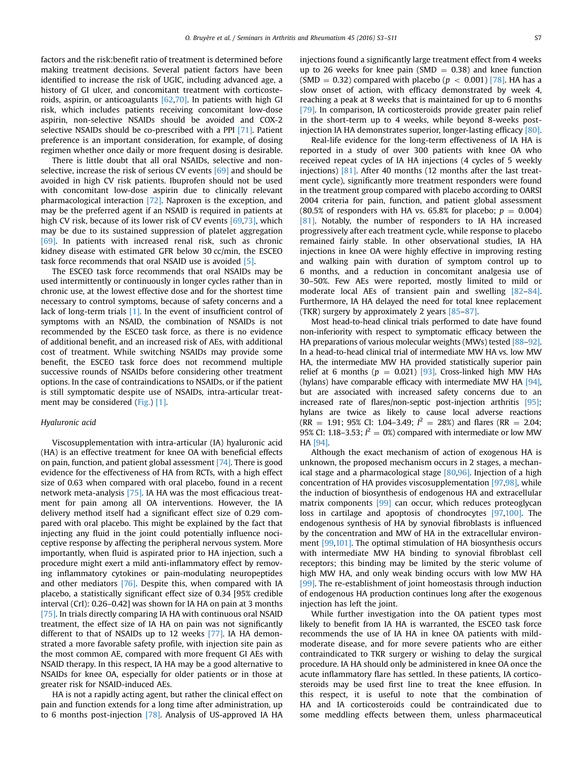factors and the risk:benefit ratio of treatment is determined before making treatment decisions. Several patient factors have been identified to increase the risk of UGIC, including advanced age, a history of GI ulcer, and concomitant treatment with corticosteroids, aspirin, or anticoagulants [\[62,70\].](#page-7-0) In patients with high GI risk, which includes patients receiving concomitant low-dose aspirin, non-selective NSAIDs should be avoided and COX-2 selective NSAIDs should be co-prescribed with a PPI [\[71\].](#page-7-0) Patient preference is an important consideration, for example, of dosing regimen whether once daily or more frequent dosing is desirable.

There is little doubt that all oral NSAIDs, selective and nonselective, increase the risk of serious CV events [\[69\]](#page-7-0) and should be avoided in high CV risk patients. Ibuprofen should not be used with concomitant low-dose aspirin due to clinically relevant pharmacological interaction [\[72\]](#page-7-0). Naproxen is the exception, and may be the preferred agent if an NSAID is required in patients at high CV risk, because of its lower risk of CV events [\[69,73\],](#page-7-0) which may be due to its sustained suppression of platelet aggregation [\[69\].](#page-7-0) In patients with increased renal risk, such as chronic kidney disease with estimated GFR below 30 cc/min, the ESCEO task force recommends that oral NSAID use is avoided [\[5\].](#page-6-0)

The ESCEO task force recommends that oral NSAIDs may be used intermittently or continuously in longer cycles rather than in chronic use, at the lowest effective dose and for the shortest time necessary to control symptoms, because of safety concerns and a lack of long-term trials [\[1\].](#page-5-0) In the event of insufficient control of symptoms with an NSAID, the combination of NSAIDs is not recommended by the ESCEO task force, as there is no evidence of additional benefit, and an increased risk of AEs, with additional cost of treatment. While switching NSAIDs may provide some benefit, the ESCEO task force does not recommend multiple successive rounds of NSAIDs before considering other treatment options. In the case of contraindications to NSAIDs, or if the patient is still symptomatic despite use of NSAIDs, intra-articular treatment may be considered [\(Fig.](#page-2-0)) [\[1\].](#page-5-0)

#### Hyaluronic acid

Viscosupplementation with intra-articular (IA) hyaluronic acid (HA) is an effective treatment for knee OA with beneficial effects on pain, function, and patient global assessment [\[74\]](#page-7-0). There is good evidence for the effectiveness of HA from RCTs, with a high effect size of 0.63 when compared with oral placebo, found in a recent network meta-analysis [\[75\].](#page-7-0) IA HA was the most efficacious treatment for pain among all OA interventions. However, the IA delivery method itself had a significant effect size of 0.29 compared with oral placebo. This might be explained by the fact that injecting any fluid in the joint could potentially influence nociceptive response by affecting the peripheral nervous system. More importantly, when fluid is aspirated prior to HA injection, such a procedure might exert a mild anti-inflammatory effect by removing inflammatory cytokines or pain-modulating neuropeptides and other mediators [\[76\]](#page-7-0). Despite this, when compared with IA placebo, a statistically significant effect size of 0.34 [95% credible interval (CrI): 0.26–0.42] was shown for IA HA on pain at 3 months [\[75\].](#page-7-0) In trials directly comparing IA HA with continuous oral NSAID treatment, the effect size of IA HA on pain was not significantly different to that of NSAIDs up to 12 weeks [\[77\]](#page-7-0). IA HA demonstrated a more favorable safety profile, with injection site pain as the most common AE, compared with more frequent GI AEs with NSAID therapy. In this respect, IA HA may be a good alternative to NSAIDs for knee OA, especially for older patients or in those at greater risk for NSAID-induced AEs.

HA is not a rapidly acting agent, but rather the clinical effect on pain and function extends for a long time after administration, up to 6 months post-injection [\[78\].](#page-7-0) Analysis of US-approved IA HA injections found a significantly large treatment effect from 4 weeks up to 26 weeks for knee pain (SMD  $= 0.38$ ) and knee function (SMD = 0.32) compared with placebo ( $p < 0.001$ ) [\[78\].](#page-7-0) HA has a slow onset of action, with efficacy demonstrated by week 4, reaching a peak at 8 weeks that is maintained for up to 6 months [\[79\].](#page-7-0) In comparison, IA corticosteroids provide greater pain relief in the short-term up to 4 weeks, while beyond 8-weeks postinjection IA HA demonstrates superior, longer-lasting efficacy [\[80\].](#page-7-0)

Real-life evidence for the long-term effectiveness of IA HA is reported in a study of over 300 patients with knee OA who received repeat cycles of IA HA injections (4 cycles of 5 weekly injections) [\[81\]](#page-7-0). After 40 months (12 months after the last treatment cycle), significantly more treatment responders were found in the treatment group compared with placebo according to OARSI 2004 criteria for pain, function, and patient global assessment (80.5% of responders with HA vs. 65.8% for placebo;  $p = 0.004$ ) [\[81\].](#page-7-0) Notably, the number of responders to IA HA increased progressively after each treatment cycle, while response to placebo remained fairly stable. In other observational studies, IA HA injections in knee OA were highly effective in improving resting and walking pain with duration of symptom control up to 6 months, and a reduction in concomitant analgesia use of 30–50%. Few AEs were reported, mostly limited to mild or moderate local AEs of transient pain and swelling [\[82](#page-7-0)–[84\].](#page-7-0) Furthermore, IA HA delayed the need for total knee replacement (TKR) surgery by approximately 2 years [\[85](#page-7-0)–[87\]](#page-7-0).

Most head-to-head clinical trials performed to date have found non-inferiority with respect to symptomatic efficacy between the HA preparations of various molecular weights (MWs) tested [\[88](#page-7-0)–[92\].](#page-7-0) In a head-to-head clinical trial of intermediate MW HA vs. low MW HA, the intermediate MW HA provided statistically superior pain relief at 6 months ( $p = 0.021$ ) [\[93\]](#page-7-0). Cross-linked high MW HAs (hylans) have comparable efficacy with intermediate MW HA [\[94\],](#page-7-0) but are associated with increased safety concerns due to an increased rate of flares/non-septic post-injection arthritis [\[95\];](#page-7-0) hylans are twice as likely to cause local adverse reactions  $(RR = 1.91; 95\% \text{ CI: } 1.04-3.49; l^2 = 28\%)$  and flares  $(RR = 2.04;$ 95% CI: 1.18–3.53;  $l^2 = 0$ %) compared with intermediate or low MW HA [\[94\].](#page-7-0)

Although the exact mechanism of action of exogenous HA is unknown, the proposed mechanism occurs in 2 stages, a mechanical stage and a pharmacological stage [\[80](#page-7-0),[96\]](#page-7-0). Injection of a high concentration of HA provides viscosupplementation [\[97,98\],](#page-7-0) while the induction of biosynthesis of endogenous HA and extracellular matrix components [\[99\]](#page-7-0) can occur, which reduces proteoglycan loss in cartilage and apoptosis of chondrocytes [\[97,100\]](#page-7-0). The endogenous synthesis of HA by synovial fibroblasts is influenced by the concentration and MW of HA in the extracellular environment [\[99,](#page-7-0)[101\]](#page-8-0). The optimal stimulation of HA biosynthesis occurs with intermediate MW HA binding to synovial fibroblast cell receptors; this binding may be limited by the steric volume of high MW HA, and only weak binding occurs with low MW HA [\[99\].](#page-7-0) The re-establishment of joint homeostasis through induction of endogenous HA production continues long after the exogenous injection has left the joint.

While further investigation into the OA patient types most likely to benefit from IA HA is warranted, the ESCEO task force recommends the use of IA HA in knee OA patients with mildmoderate disease, and for more severe patients who are either contraindicated to TKR surgery or wishing to delay the surgical procedure. IA HA should only be administered in knee OA once the acute inflammatory flare has settled. In these patients, IA corticosteroids may be used first line to treat the knee effusion. In this respect, it is useful to note that the combination of HA and IA corticosteroids could be contraindicated due to some meddling effects between them, unless pharmaceutical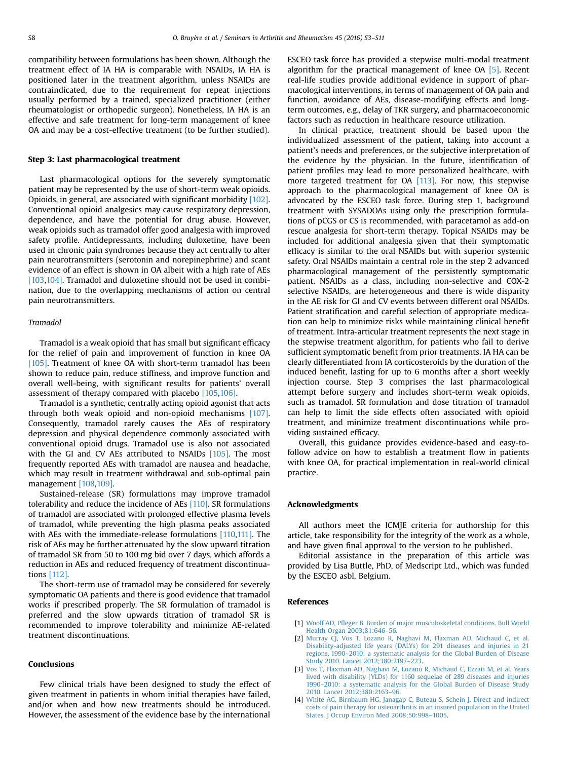<span id="page-5-0"></span>compatibility between formulations has been shown. Although the treatment effect of IA HA is comparable with NSAIDs, IA HA is positioned later in the treatment algorithm, unless NSAIDs are contraindicated, due to the requirement for repeat injections usually performed by a trained, specialized practitioner (either rheumatologist or orthopedic surgeon). Nonetheless, IA HA is an effective and safe treatment for long-term management of knee OA and may be a cost-effective treatment (to be further studied).

#### Step 3: Last pharmacological treatment

Last pharmacological options for the severely symptomatic patient may be represented by the use of short-term weak opioids. Opioids, in general, are associated with significant morbidity [\[102\].](#page-8-0) Conventional opioid analgesics may cause respiratory depression, dependence, and have the potential for drug abuse. However, weak opioids such as tramadol offer good analgesia with improved safety profile. Antidepressants, including duloxetine, have been used in chronic pain syndromes because they act centrally to alter pain neurotransmitters (serotonin and norepinephrine) and scant evidence of an effect is shown in OA albeit with a high rate of AEs [\[103,104\].](#page-8-0) Tramadol and duloxetine should not be used in combination, due to the overlapping mechanisms of action on central pain neurotransmitters.

#### Tramadol

Tramadol is a weak opioid that has small but significant efficacy for the relief of pain and improvement of function in knee OA [\[105\]](#page-8-0). Treatment of knee OA with short-term tramadol has been shown to reduce pain, reduce stiffness, and improve function and overall well-being, with significant results for patients' overall assessment of therapy compared with placebo [\[105,106\].](#page-8-0)

Tramadol is a synthetic, centrally acting opioid agonist that acts through both weak opioid and non-opioid mechanisms [\[107\].](#page-8-0) Consequently, tramadol rarely causes the AEs of respiratory depression and physical dependence commonly associated with conventional opioid drugs. Tramadol use is also not associated with the GI and CV AEs attributed to NSAIDs [\[105\]](#page-8-0). The most frequently reported AEs with tramadol are nausea and headache, which may result in treatment withdrawal and sub-optimal pain management [\[108,109\]](#page-8-0).

Sustained-release (SR) formulations may improve tramadol tolerability and reduce the incidence of AEs [\[110\].](#page-8-0) SR formulations of tramadol are associated with prolonged effective plasma levels of tramadol, while preventing the high plasma peaks associated with AEs with the immediate-release formulations [\[110,111\]](#page-8-0). The risk of AEs may be further attenuated by the slow upward titration of tramadol SR from 50 to 100 mg bid over 7 days, which affords a reduction in AEs and reduced frequency of treatment discontinuations [\[112\]](#page-8-0).

The short-term use of tramadol may be considered for severely symptomatic OA patients and there is good evidence that tramadol works if prescribed properly. The SR formulation of tramadol is preferred and the slow upwards titration of tramadol SR is recommended to improve tolerability and minimize AE-related treatment discontinuations.

# Conclusions

Few clinical trials have been designed to study the effect of given treatment in patients in whom initial therapies have failed, and/or when and how new treatments should be introduced. However, the assessment of the evidence base by the international

ESCEO task force has provided a stepwise multi-modal treatment algorithm for the practical management of knee OA [\[5\]](#page-6-0). Recent real-life studies provide additional evidence in support of pharmacological interventions, in terms of management of OA pain and function, avoidance of AEs, disease-modifying effects and longterm outcomes, e.g., delay of TKR surgery, and pharmacoeconomic factors such as reduction in healthcare resource utilization.

In clinical practice, treatment should be based upon the individualized assessment of the patient, taking into account a patient's needs and preferences, or the subjective interpretation of the evidence by the physician. In the future, identification of patient profiles may lead to more personalized healthcare, with more targeted treatment for OA [\[113\]](#page-8-0). For now, this stepwise approach to the pharmacological management of knee OA is advocated by the ESCEO task force. During step 1, background treatment with SYSADOAs using only the prescription formulations of pCGS or CS is recommended, with paracetamol as add-on rescue analgesia for short-term therapy. Topical NSAIDs may be included for additional analgesia given that their symptomatic efficacy is similar to the oral NSAIDs but with superior systemic safety. Oral NSAIDs maintain a central role in the step 2 advanced pharmacological management of the persistently symptomatic patient. NSAIDs as a class, including non-selective and COX-2 selective NSAIDs, are heterogeneous and there is wide disparity in the AE risk for GI and CV events between different oral NSAIDs. Patient stratification and careful selection of appropriate medication can help to minimize risks while maintaining clinical benefit of treatment. Intra-articular treatment represents the next stage in the stepwise treatment algorithm, for patients who fail to derive sufficient symptomatic benefit from prior treatments. IA HA can be clearly differentiated from IA corticosteroids by the duration of the induced benefit, lasting for up to 6 months after a short weekly injection course. Step 3 comprises the last pharmacological attempt before surgery and includes short-term weak opioids, such as tramadol. SR formulation and dose titration of tramadol can help to limit the side effects often associated with opioid treatment, and minimize treatment discontinuations while providing sustained efficacy.

Overall, this guidance provides evidence-based and easy-tofollow advice on how to establish a treatment flow in patients with knee OA, for practical implementation in real-world clinical practice.

#### Acknowledgments

All authors meet the ICMJE criteria for authorship for this article, take responsibility for the integrity of the work as a whole, and have given final approval to the version to be published.

Editorial assistance in the preparation of this article was provided by Lisa Buttle, PhD, of Medscript Ltd., which was funded by the ESCEO asbl, Belgium.

#### References

- [1] Woolf AD, Pfl[eger B. Burden of major musculoskeletal conditions. Bull World](http://refhub.elsevier.com/S0049-0172(15)00288-7/sbref1) [Health Organ 2003;81:646](http://refhub.elsevier.com/S0049-0172(15)00288-7/sbref1)–56.
- [2] [Murray CJ, Vos T, Lozano R, Naghavi M, Flaxman AD, Michaud C, et al.](http://refhub.elsevier.com/S0049-0172(15)00288-7/sbref2) [Disability-adjusted life years \(DALYs\) for 291 diseases and injuries in 21](http://refhub.elsevier.com/S0049-0172(15)00288-7/sbref2) regions, 1990–[2010: a systematic analysis for the Global Burden of Disease](http://refhub.elsevier.com/S0049-0172(15)00288-7/sbref2) [Study 2010. Lancet 2012;380:2197](http://refhub.elsevier.com/S0049-0172(15)00288-7/sbref2)–223.
- [3] [Vos T, Flaxman AD, Naghavi M, Lozano R, Michaud C, Ezzati M, et al. Years](http://refhub.elsevier.com/S0049-0172(15)00288-7/sbref3) [lived with disability \(YLDs\) for 1160 sequelae of 289 diseases and injuries](http://refhub.elsevier.com/S0049-0172(15)00288-7/sbref3) 1990–[2010: a systematic analysis for the Global Burden of Disease Study](http://refhub.elsevier.com/S0049-0172(15)00288-7/sbref3) [2010. Lancet 2012;380:2163](http://refhub.elsevier.com/S0049-0172(15)00288-7/sbref3)–96.
- [4] [White AG, Birnbaum HG, Janagap C, Buteau S, Schein J. Direct and indirect](http://refhub.elsevier.com/S0049-0172(15)00288-7/sbref4) [costs of pain therapy for osteoarthritis in an insured population in the United](http://refhub.elsevier.com/S0049-0172(15)00288-7/sbref4) [States. J Occup Environ Med 2008;50:998](http://refhub.elsevier.com/S0049-0172(15)00288-7/sbref4)–1005.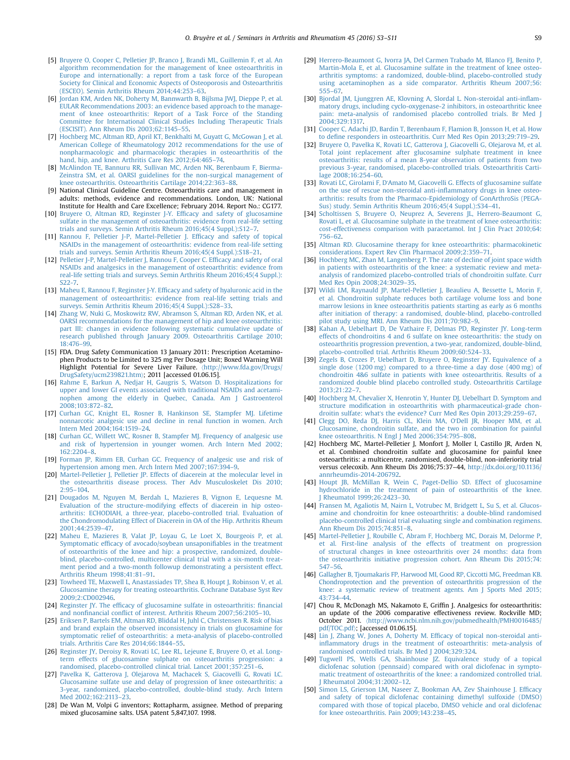- <span id="page-6-0"></span>[5] [Bruyere O, Cooper C, Pelletier JP, Branco J, Brandi ML, Guillemin F, et al. An](http://refhub.elsevier.com/S0049-0172(15)00288-7/sbref5) [algorithm recommendation for the management of knee osteoarthritis in](http://refhub.elsevier.com/S0049-0172(15)00288-7/sbref5) [Europe and internationally: a report from a task force of the European](http://refhub.elsevier.com/S0049-0172(15)00288-7/sbref5) [Society for Clinical and Economic Aspects of Osteoporosis and Osteoarthritis](http://refhub.elsevier.com/S0049-0172(15)00288-7/sbref5) [\(ESCEO\). Semin Arthritis Rheum 2014;44:253](http://refhub.elsevier.com/S0049-0172(15)00288-7/sbref5)–63.
- [6] [Jordan KM, Arden NK, Doherty M, Bannwarth B, Bijlsma JWJ, Dieppe P, et al.](http://refhub.elsevier.com/S0049-0172(15)00288-7/sbref6) [EULAR Recommendations 2003: an evidence based approach to the manage](http://refhub.elsevier.com/S0049-0172(15)00288-7/sbref6)[ment of knee osteoarthritis: Report of a Task Force of the Standing](http://refhub.elsevier.com/S0049-0172(15)00288-7/sbref6) [Committee for International Clinical Studies Including Therapeutic Trials](http://refhub.elsevier.com/S0049-0172(15)00288-7/sbref6) [\(ESCISIT\). Ann Rheum Dis 2003;62:1145](http://refhub.elsevier.com/S0049-0172(15)00288-7/sbref6)–55.
- [7] [Hochberg MC, Altman RD, April KT, Benkhalti M, Guyatt G, McGowan J, et al.](http://refhub.elsevier.com/S0049-0172(15)00288-7/sbref7) [American College of Rheumatology 2012 recommendations for the use of](http://refhub.elsevier.com/S0049-0172(15)00288-7/sbref7) [nonpharmacologic and pharmacologic therapies in osteoarthritis of the](http://refhub.elsevier.com/S0049-0172(15)00288-7/sbref7) [hand, hip, and knee. Arthritis Care Res 2012;64:465](http://refhub.elsevier.com/S0049-0172(15)00288-7/sbref7)–74.
- [8] [McAlindon TE, Bannuru RR, Sullivan MC, Arden NK, Berenbaum F, Bierma-](http://refhub.elsevier.com/S0049-0172(15)00288-7/sbref8)[Zeinstra SM, et al. OARSI guidelines for the non-surgical management of](http://refhub.elsevier.com/S0049-0172(15)00288-7/sbref8) [knee osteoarthritis. Osteoarthritis Cartilage 2014;22:363](http://refhub.elsevier.com/S0049-0172(15)00288-7/sbref8)–88.
- [9] National Clinical Guideline Centre. Osteoarthritis care and management in adults: methods, evidence and recommendations. London, UK: National Institute for Health and Care Excellence; February 2014. Report No.: CG177.
- [10] [Bruyere O, Altman RD, Reginster J-Y. Ef](http://refhub.elsevier.com/S0049-0172(15)00288-7/sbref9)ficacy and safety of glucosamine [sulfate in the management of osteoarthritis: evidence from real-life setting](http://refhub.elsevier.com/S0049-0172(15)00288-7/sbref9) [trials and surveys. Semin Arthritis Rheum 2016;45\(4 Suppl.\):S12](http://refhub.elsevier.com/S0049-0172(15)00288-7/sbref9)–7.
- [11] [Rannou F, Pelletier J-P, Martel-Pelletier J. Ef](http://refhub.elsevier.com/S0049-0172(15)00288-7/sbref10)ficacy and safety of topical [NSAIDs in the management of osteoarthritis: evidence from real-life setting](http://refhub.elsevier.com/S0049-0172(15)00288-7/sbref10) [trials and surveys. Semin Arthritis Rheum 2016;45\(4 Suppl.\):S18](http://refhub.elsevier.com/S0049-0172(15)00288-7/sbref10)–21.
- [12] [Pelletier J-P, Martel-Pelletier J, Rannou F, Cooper C. Ef](http://refhub.elsevier.com/S0049-0172(15)00288-7/sbref11)ficacy and safety of oral [NSAIDs and analgesics in the management of osteoarthritis: evidence from](http://refhub.elsevier.com/S0049-0172(15)00288-7/sbref11) [real-life setting trials and surveys. Semin Arthritis Rheum 2016;45\(4 Suppl.\):](http://refhub.elsevier.com/S0049-0172(15)00288-7/sbref11) [S22-7.](http://refhub.elsevier.com/S0049-0172(15)00288-7/sbref11)
- [13] Maheu E, Rannou F, Reginster J-Y. Effi[cacy and safety of hyaluronic acid in the](http://refhub.elsevier.com/S0049-0172(15)00288-7/sbref12) [management of osteoarthritis: evidence from real-life setting trials and](http://refhub.elsevier.com/S0049-0172(15)00288-7/sbref12) [surveys. Semin Arthritis Rheum 2016;45\(4 Suppl.\):S28](http://refhub.elsevier.com/S0049-0172(15)00288-7/sbref12)–33.
- [14] [Zhang W, Nuki G, Moskowitz RW, Abramson S, Altman RD, Arden NK, et al.](http://refhub.elsevier.com/S0049-0172(15)00288-7/sbref13) [OARSI recommendations for the management of hip and knee osteoarthritis:](http://refhub.elsevier.com/S0049-0172(15)00288-7/sbref13) [part III: changes in evidence following systematic cumulative update of](http://refhub.elsevier.com/S0049-0172(15)00288-7/sbref13) [research published through January 2009. Osteoarthritis Cartilage 2010;](http://refhub.elsevier.com/S0049-0172(15)00288-7/sbref13) [18:476](http://refhub.elsevier.com/S0049-0172(15)00288-7/sbref13)–99.
- [15] FDA. Drug Safety Communication 13 January 2011: Prescription Acetaminophen Products to be Limited to 325 mg Per Dosage Unit; Boxed Warning Will Highlight Potential for Severe Liver Failure. 〈[http://www.fda.gov/Drugs/](http://www.fda.gov/Drugs/DrugSafety/ucm239821.htm) [DrugSafety/ucm239821.htm](http://www.fda.gov/Drugs/DrugSafety/ucm239821.htm)〉; 2011 [accessed 01.06.15].
- [16] [Rahme E, Barkun A, Nedjar H, Gaugris S, Watson D. Hospitalizations for](http://refhub.elsevier.com/S0049-0172(15)00288-7/sbref14) [upper and lower GI events associated with traditional NSAIDs and acetami](http://refhub.elsevier.com/S0049-0172(15)00288-7/sbref14)[nophen among the elderly in Quebec, Canada. Am J Gastroenterol](http://refhub.elsevier.com/S0049-0172(15)00288-7/sbref14) [2008;103:872](http://refhub.elsevier.com/S0049-0172(15)00288-7/sbref14)–82.
- [17] [Curhan GC, Knight EL, Rosner B, Hankinson SE, Stampfer MJ. Lifetime](http://refhub.elsevier.com/S0049-0172(15)00288-7/sbref15) [nonnarcotic analgesic use and decline in renal function in women. Arch](http://refhub.elsevier.com/S0049-0172(15)00288-7/sbref15) [Intern Med 2004;164:1519](http://refhub.elsevier.com/S0049-0172(15)00288-7/sbref15)–24.
- [18] [Curhan GC, Willett WC, Rosner B, Stampfer MJ. Frequency of analgesic use](http://refhub.elsevier.com/S0049-0172(15)00288-7/sbref16) [and risk of hypertension in younger women. Arch Intern Med 2002;](http://refhub.elsevier.com/S0049-0172(15)00288-7/sbref16) [162:2204](http://refhub.elsevier.com/S0049-0172(15)00288-7/sbref16)–8.
- [19] [Forman JP, Rimm EB, Curhan GC. Frequency of analgesic use and risk of](http://refhub.elsevier.com/S0049-0172(15)00288-7/sbref17) [hypertension among men. Arch Intern Med 2007;167:394](http://refhub.elsevier.com/S0049-0172(15)00288-7/sbref17)–9.
- [20] [Martel-Pelletier J, Pelletier JP. Effects of diacerein at the molecular level in](http://refhub.elsevier.com/S0049-0172(15)00288-7/sbref18) [the osteoarthritis disease process. Ther Adv Musculoskelet Dis 2010;](http://refhub.elsevier.com/S0049-0172(15)00288-7/sbref18)  $2.95 - 104$
- [21] [Dougados M, Nguyen M, Berdah L, Mazieres B, Vignon E, Lequesne M.](http://refhub.elsevier.com/S0049-0172(15)00288-7/sbref19) [Evaluation of the structure-modifying effects of diacerein in hip osteo](http://refhub.elsevier.com/S0049-0172(15)00288-7/sbref19)[arthritis: ECHODIAH, a three-year, placebo-controlled trial. Evaluation of](http://refhub.elsevier.com/S0049-0172(15)00288-7/sbref19) [the Chondromodulating Effect of Diacerein in OA of the Hip. Arthritis Rheum](http://refhub.elsevier.com/S0049-0172(15)00288-7/sbref19) [2001;44:2539](http://refhub.elsevier.com/S0049-0172(15)00288-7/sbref19)–47.
- [22] [Maheu E, Mazieres B, Valat JP, Loyau G, Le Loet X, Bourgeois P, et al.](http://refhub.elsevier.com/S0049-0172(15)00288-7/sbref20) Symptomatic effi[cacy of avocado/soybean unsaponi](http://refhub.elsevier.com/S0049-0172(15)00288-7/sbref20)fiables in the treatment [of osteoarthritis of the knee and hip: a prospective, randomized, double](http://refhub.elsevier.com/S0049-0172(15)00288-7/sbref20)[blind, placebo-controlled, multicenter clinical trial with a six-month treat](http://refhub.elsevier.com/S0049-0172(15)00288-7/sbref20)[ment period and a two-month followup demonstrating a persistent effect.](http://refhub.elsevier.com/S0049-0172(15)00288-7/sbref20) [Arthritis Rheum 1998;41:81](http://refhub.elsevier.com/S0049-0172(15)00288-7/sbref20)–91.
- [23] [Towheed TE, Maxwell L, Anastassiades TP, Shea B, Houpt J, Robinson V, et al.](http://refhub.elsevier.com/S0049-0172(15)00288-7/sbref21) [Glucosamine therapy for treating osteoarthritis. Cochrane Database Syst Rev](http://refhub.elsevier.com/S0049-0172(15)00288-7/sbref21) [2009;2:CD002946.](http://refhub.elsevier.com/S0049-0172(15)00288-7/sbref21)
- [24] Reginster JY. The effi[cacy of glucosamine sulfate in osteoarthritis:](http://refhub.elsevier.com/S0049-0172(15)00288-7/sbref22) financial and nonfinancial confl[ict of interest. Arthritis Rheum 2007;56:2105](http://refhub.elsevier.com/S0049-0172(15)00288-7/sbref22)–10.
- [25] [Eriksen P, Bartels EM, Altman RD, Bliddal H, Juhl C, Christensen R. Risk of bias](http://refhub.elsevier.com/S0049-0172(15)00288-7/sbref23) [and brand explain the observed inconsistency in trials on glucosamine for](http://refhub.elsevier.com/S0049-0172(15)00288-7/sbref23) [symptomatic relief of osteoarthritis: a meta-analysis of placebo-controlled](http://refhub.elsevier.com/S0049-0172(15)00288-7/sbref23) [trials. Arthritis Care Res 2014;66:1844](http://refhub.elsevier.com/S0049-0172(15)00288-7/sbref23)–55.
- [26] [Reginster JY, Deroisy R, Rovati LC, Lee RL, Lejeune E, Bruyere O, et al. Long](http://refhub.elsevier.com/S0049-0172(15)00288-7/sbref24)[term effects of glucosamine sulphate on osteoarthritis progression: a](http://refhub.elsevier.com/S0049-0172(15)00288-7/sbref24) [randomised, placebo-controlled clinical trial. Lancet 2001;357:251](http://refhub.elsevier.com/S0049-0172(15)00288-7/sbref24)–6.
- [27] [Pavelka K, Gatterova J, Olejarova M, Machacek S, Giacovelli G, Rovati LC.](http://refhub.elsevier.com/S0049-0172(15)00288-7/sbref25) [Glucosamine sulfate use and delay of progression of knee osteoarthritis: a](http://refhub.elsevier.com/S0049-0172(15)00288-7/sbref25) [3-year, randomized, placebo-controlled, double-blind study. Arch Intern](http://refhub.elsevier.com/S0049-0172(15)00288-7/sbref25) [Med 2002;162:2113](http://refhub.elsevier.com/S0049-0172(15)00288-7/sbref25)–23.
- [28] De Wan M, Volpi G inventors; Rottapharm, assignee. Method of preparing mixed glucosamine salts. USA patent 5,847,107. 1998.
- [29] [Herrero-Beaumont G, Ivorra JA, Del Carmen Trabado M, Blanco FJ, Benito P,](http://refhub.elsevier.com/S0049-0172(15)00288-7/sbref26) [Martin-Mola E, et al. Glucosamine sulfate in the treatment of knee osteo](http://refhub.elsevier.com/S0049-0172(15)00288-7/sbref26)[arthritis symptoms: a randomized, double-blind, placebo-controlled study](http://refhub.elsevier.com/S0049-0172(15)00288-7/sbref26) [using acetaminophen as a side comparator. Arthritis Rheum 2007;56:](http://refhub.elsevier.com/S0049-0172(15)00288-7/sbref26) [555](http://refhub.elsevier.com/S0049-0172(15)00288-7/sbref26)–67.
- [30] [Bjordal JM, Ljunggren AE, Klovning A, Slordal L. Non-steroidal anti-in](http://refhub.elsevier.com/S0049-0172(15)00288-7/sbref27)flam[matory drugs, including cyclo-oxygenase-2 inhibitors, in osteoarthritic knee](http://refhub.elsevier.com/S0049-0172(15)00288-7/sbref27) [pain: meta-analysis of randomised placebo controlled trials. Br Med J](http://refhub.elsevier.com/S0049-0172(15)00288-7/sbref27) [2004;329:1317.](http://refhub.elsevier.com/S0049-0172(15)00288-7/sbref27)
- [31] [Cooper C, Adachi JD, Bardin T, Berenbaum F, Flamion B, Jonsson H, et al. How](http://refhub.elsevier.com/S0049-0172(15)00288-7/sbref28) to defi[ne responders in osteoarthritis. Curr Med Res Opin 2013;29:719](http://refhub.elsevier.com/S0049-0172(15)00288-7/sbref28)–29.
- [32] [Bruyere O, Pavelka K, Rovati LC, Gatterova J, Giacovelli G, Olejarova M, et al.](http://refhub.elsevier.com/S0049-0172(15)00288-7/sbref29) [Total joint replacement after glucosamine sulphate treatment in knee](http://refhub.elsevier.com/S0049-0172(15)00288-7/sbref29) [osteoarthritis: results of a mean 8-year observation of patients from two](http://refhub.elsevier.com/S0049-0172(15)00288-7/sbref29) [previous 3-year, randomised, placebo-controlled trials. Osteoarthritis Carti](http://refhub.elsevier.com/S0049-0172(15)00288-7/sbref29)[lage 2008;16:254](http://refhub.elsevier.com/S0049-0172(15)00288-7/sbref29)–60.
- [33] Rovati LC, Girolami F, D'[Amato M, Giacovelli G. Effects of glucosamine sulfate](http://refhub.elsevier.com/S0049-0172(15)00288-7/sbref30) [on the use of rescue non-steroidal anti-in](http://refhub.elsevier.com/S0049-0172(15)00288-7/sbref30)flammatory drugs in knee osteo[arthritis: results from the Pharmaco-Epidemiology of GonArthroSis \(PEGA-](http://refhub.elsevier.com/S0049-0172(15)00288-7/sbref30)[Sus\) study. Semin Arthritis Rheum 2016;45\(4 Suppl.\):S34](http://refhub.elsevier.com/S0049-0172(15)00288-7/sbref30)–41.
- [34] [Scholtissen S, Bruyere O, Neuprez A, Severens JL, Herrero-Beaumont G,](http://refhub.elsevier.com/S0049-0172(15)00288-7/sbref31) [Rovati L, et al. Glucosamine sulphate in the treatment of knee osteoarthritis:](http://refhub.elsevier.com/S0049-0172(15)00288-7/sbref31) [cost-effectiveness comparison with paracetamol. Int J Clin Pract 2010;64:](http://refhub.elsevier.com/S0049-0172(15)00288-7/sbref31) [756](http://refhub.elsevier.com/S0049-0172(15)00288-7/sbref31)–62.
- [35] [Altman RD. Glucosamine therapy for knee osteoarthritis: pharmacokinetic](http://refhub.elsevier.com/S0049-0172(15)00288-7/sbref32) [considerations. Expert Rev Clin Pharmacol 2009;2:359](http://refhub.elsevier.com/S0049-0172(15)00288-7/sbref32)–71.
- [36] [Hochberg MC, Zhan M, Langenberg P. The rate of decline of joint space width](http://refhub.elsevier.com/S0049-0172(15)00288-7/sbref33) [in patients with osteoarthritis of the knee: a systematic review and meta](http://refhub.elsevier.com/S0049-0172(15)00288-7/sbref33)[analysis of randomized placebo-controlled trials of chondroitin sulfate. Curr](http://refhub.elsevier.com/S0049-0172(15)00288-7/sbref33) [Med Res Opin 2008;24:3029](http://refhub.elsevier.com/S0049-0172(15)00288-7/sbref33)–35.
- [37] [Wildi LM, Raynauld JP, Martel-Pelletier J, Beaulieu A, Bessette L, Morin F,](http://refhub.elsevier.com/S0049-0172(15)00288-7/sbref34) [et al. Chondroitin sulphate reduces both cartilage volume loss and bone](http://refhub.elsevier.com/S0049-0172(15)00288-7/sbref34) [marrow lesions in knee osteoarthritis patients starting as early as 6 months](http://refhub.elsevier.com/S0049-0172(15)00288-7/sbref34) [after initiation of therapy: a randomised, double-blind, placebo-controlled](http://refhub.elsevier.com/S0049-0172(15)00288-7/sbref34) [pilot study using MRI. Ann Rheum Dis 2011;70:982](http://refhub.elsevier.com/S0049-0172(15)00288-7/sbref34)–9.
- [38] [Kahan A, Uebelhart D, De Vathaire F, Delmas PD, Reginster JY. Long-term](http://refhub.elsevier.com/S0049-0172(15)00288-7/sbref35) [effects of chondroitins 4 and 6 sulfate on knee osteoarthritis: the study on](http://refhub.elsevier.com/S0049-0172(15)00288-7/sbref35) [osteoarthritis progression prevention, a two-year, randomized, double-blind,](http://refhub.elsevier.com/S0049-0172(15)00288-7/sbref35) [placebo-controlled trial. Arthritis Rheum 2009;60:524](http://refhub.elsevier.com/S0049-0172(15)00288-7/sbref35)–33.
- [39] [Zegels B, Crozes P, Uebelhart D, Bruyere O, Reginster JY. Equivalence of a](http://refhub.elsevier.com/S0049-0172(15)00288-7/sbref36) [single dose \(1200 mg\) compared to a three-time a day dose \(400 mg\) of](http://refhub.elsevier.com/S0049-0172(15)00288-7/sbref36) [chondroitin 4](http://refhub.elsevier.com/S0049-0172(15)00288-7/sbref36)&[6 sulfate in patients with knee osteoarthritis. Results of a](http://refhub.elsevier.com/S0049-0172(15)00288-7/sbref36) [randomized double blind placebo controlled study. Osteoarthritis Cartilage](http://refhub.elsevier.com/S0049-0172(15)00288-7/sbref36) [2013;21:22](http://refhub.elsevier.com/S0049-0172(15)00288-7/sbref36)–7.
- [40] [Hochberg M, Chevalier X, Henrotin Y, Hunter DJ, Uebelhart D. Symptom and](http://refhub.elsevier.com/S0049-0172(15)00288-7/sbref37) structure modifi[cation in osteoarthritis with pharmaceutical-grade chon](http://refhub.elsevier.com/S0049-0172(15)00288-7/sbref37)droitin sulfate: what'[s the evidence? Curr Med Res Opin 2013;29:259](http://refhub.elsevier.com/S0049-0172(15)00288-7/sbref37)–67.
- [41] [Clegg DO, Reda DJ, Harris CL, Klein MA, O](http://refhub.elsevier.com/S0049-0172(15)00288-7/sbref38)'Dell JR, Hooper MM, et al. [Glucosamine, chondroitin sulfate, and the two in combination for painful](http://refhub.elsevier.com/S0049-0172(15)00288-7/sbref38) [knee osteoarthritis. N Engl J Med 2006;354:795](http://refhub.elsevier.com/S0049-0172(15)00288-7/sbref38)–808.
- [42] Hochberg MC, Martel-Pelletier J, Monfort J, Moller I, Castillo JR, Arden N, et al. Combined chondroitin sulfate and glucosamine for painful knee osteoarthritis: a multicentre, randomised, double-blind, non-inferiority trial versus celecoxib. Ann Rheum Dis 2016;75:37–44, [http://dx.doi.org/10.1136/](dx.doi.org/10.1136/annrheumdis-2014-206792) [annrheumdis-2014-206792.](dx.doi.org/10.1136/annrheumdis-2014-206792)
- [43] [Houpt JB, McMillan R, Wein C, Paget-Dellio SD. Effect of glucosamine](http://refhub.elsevier.com/S0049-0172(15)00288-7/sbref40) [hydrochloride in the treatment of pain of osteoarthritis of the knee.](http://refhub.elsevier.com/S0049-0172(15)00288-7/sbref40) [J Rheumatol 1999;26:2423](http://refhub.elsevier.com/S0049-0172(15)00288-7/sbref40)–30.
- [44] [Fransen M, Agaliotis M, Nairn L, Votrubec M, Bridgett L, Su S, et al. Glucos](http://refhub.elsevier.com/S0049-0172(15)00288-7/sbref41)[amine and chondroitin for knee osteoarthritis: a double-blind randomised](http://refhub.elsevier.com/S0049-0172(15)00288-7/sbref41) [placebo-controlled clinical trial evaluating single and combination regimens.](http://refhub.elsevier.com/S0049-0172(15)00288-7/sbref41) [Ann Rheum Dis 2015;74:851](http://refhub.elsevier.com/S0049-0172(15)00288-7/sbref41)–8.
- [45] [Martel-Pelletier J, Roubille C, Abram F, Hochberg MC, Dorais M, Delorme P,](http://refhub.elsevier.com/S0049-0172(15)00288-7/sbref42) [et al. First-line analysis of the effects of treatment on progression](http://refhub.elsevier.com/S0049-0172(15)00288-7/sbref42) [of structural changes in knee osteoarthritis over 24 months: data from](http://refhub.elsevier.com/S0049-0172(15)00288-7/sbref42) [the osteoarthritis initiative progression cohort. Ann Rheum Dis 2015;74:](http://refhub.elsevier.com/S0049-0172(15)00288-7/sbref42) [547](http://refhub.elsevier.com/S0049-0172(15)00288-7/sbref42)–56.
- [46] [Gallagher B, Tjoumakaris FP, Harwood MI, Good RP, Ciccotti MG, Freedman KB.](http://refhub.elsevier.com/S0049-0172(15)00288-7/sbref43) [Chondroprotection and the prevention of osteoarthritis progression of the](http://refhub.elsevier.com/S0049-0172(15)00288-7/sbref43) [knee: a systematic review of treatment agents. Am J Sports Med 2015;](http://refhub.elsevier.com/S0049-0172(15)00288-7/sbref43) [43:734](http://refhub.elsevier.com/S0049-0172(15)00288-7/sbref43)–44.
- [47] Chou R, McDonagh MS, Nakamoto E, Griffin J. Analgesics for osteoarthritis: an update of the 2006 comparative effectiveness review. Rockville MD; October 2011. 〈[http://www.ncbi.nlm.nih.gov/pubmedhealth/PMH0016485/](http://www.ncbi.nlm.nih.gov/pubmedhealth/PMH0016485/pdf/TOC.pdf) [pdf/TOC.pdf](http://www.ncbi.nlm.nih.gov/pubmedhealth/PMH0016485/pdf/TOC.pdf)〉; [accessed 01.06.15].
- [48] [Lin J, Zhang W, Jones A, Doherty M. Ef](http://refhub.elsevier.com/S0049-0172(15)00288-7/sbref44)ficacy of topical non-steroidal antiinfl[ammatory drugs in the treatment of osteoarthritis: meta-analysis of](http://refhub.elsevier.com/S0049-0172(15)00288-7/sbref44) [randomised controlled trials. Br Med J 2004;329:324.](http://refhub.elsevier.com/S0049-0172(15)00288-7/sbref44)
- [49] Tugwell PS, Wells GA, Shainhouse [Z. Equivalence study of a topical [diclofenac solution \(pennsaid\) compared with oral diclofenac in sympto](http://refhub.elsevier.com/S0049-0172(15)00288-7/sbref45)[matic treatment of osteoarthritis of the knee: a randomized controlled trial.](http://refhub.elsevier.com/S0049-0172(15)00288-7/sbref45) [J Rheumatol 2004;31:2002](http://refhub.elsevier.com/S0049-0172(15)00288-7/sbref45)–12.
- [50] [Simon LS, Grierson LM, Naseer Z, Bookman AA, Zev Shainhouse J. Ef](http://refhub.elsevier.com/S0049-0172(15)00288-7/sbref46)ficacy [and safety of topical diclofenac containing dimethyl sulfoxide \(DMSO\)](http://refhub.elsevier.com/S0049-0172(15)00288-7/sbref46) [compared with those of topical placebo, DMSO vehicle and oral diclofenac](http://refhub.elsevier.com/S0049-0172(15)00288-7/sbref46) [for knee osteoarthritis. Pain 2009;143:238](http://refhub.elsevier.com/S0049-0172(15)00288-7/sbref46)–45.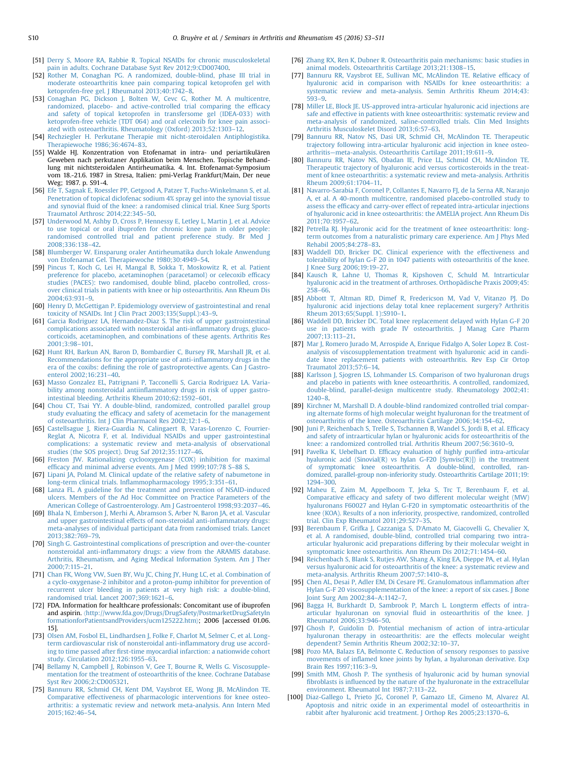- <span id="page-7-0"></span>[51] [Derry S, Moore RA, Rabbie R. Topical NSAIDs for chronic musculoskeletal](http://refhub.elsevier.com/S0049-0172(15)00288-7/sbref47) [pain in adults. Cochrane Database Syst Rev 2012;9:CD007400.](http://refhub.elsevier.com/S0049-0172(15)00288-7/sbref47)
- [52] [Rother M, Conaghan PG. A randomized, double-blind, phase III trial in](http://refhub.elsevier.com/S0049-0172(15)00288-7/sbref48) [moderate osteoarthritis knee pain comparing topical ketoprofen gel with](http://refhub.elsevier.com/S0049-0172(15)00288-7/sbref48) [ketoprofen-free gel. J Rheumatol 2013;40:1742](http://refhub.elsevier.com/S0049-0172(15)00288-7/sbref48)–8.
- [53] [Conaghan PG, Dickson J, Bolten W, Cevc G, Rother M. A multicentre,](http://refhub.elsevier.com/S0049-0172(15)00288-7/sbref49) [randomized, placebo- and active-controlled trial comparing the ef](http://refhub.elsevier.com/S0049-0172(15)00288-7/sbref49)ficacy [and safety of topical ketoprofen in transfersome gel \(IDEA-033\) with](http://refhub.elsevier.com/S0049-0172(15)00288-7/sbref49) [ketoprofen-free vehicle \(TDT 064\) and oral celecoxib for knee pain associ](http://refhub.elsevier.com/S0049-0172(15)00288-7/sbref49)[ated with osteoarthritis. Rheumatology \(Oxford\) 2013;52:1303](http://refhub.elsevier.com/S0049-0172(15)00288-7/sbref49)–12.
- [54] [Rechziegler H. Perkutane Therapie mit nicht-steroidalen Antiphlogistika.](http://refhub.elsevier.com/S0049-0172(15)00288-7/sbref50) [Therapiewoche 1986;36:4674](http://refhub.elsevier.com/S0049-0172(15)00288-7/sbref50)–83.
- [55] Walde HJ. Konzentration von Etofenamat in intra- und periartikulären Geweben nach perkutaner Applikation beim Menschen. Topische Behandlung mit nichtsteroidalen Antirheumatika. 4. Int. Etofenamat-Symposium vom 18.-21.6. 1987 in Stresa, Italien: pmi-Verlag Frankfurt/Main, Der neue Weg; 1987. p. S91-4.
- [56] [Efe T, Sagnak E, Roessler PP, Getgood A, Patzer T, Fuchs-Winkelmann S, et al.](http://refhub.elsevier.com/S0049-0172(15)00288-7/sbref51) [Penetration of topical diclofenac sodium 4% spray gel into the synovial tissue](http://refhub.elsevier.com/S0049-0172(15)00288-7/sbref51) and synovial fl[uid of the knee: a randomised clinical trial. Knee Surg Sports](http://refhub.elsevier.com/S0049-0172(15)00288-7/sbref51) [Traumatol Arthrosc 2014;22:345](http://refhub.elsevier.com/S0049-0172(15)00288-7/sbref51)–50.
- [57] [Underwood M, Ashby D, Cross P, Hennessy E, Letley L, Martin J, et al. Advice](http://refhub.elsevier.com/S0049-0172(15)00288-7/sbref52) [to use topical or oral ibuprofen for chronic knee pain in older people:](http://refhub.elsevier.com/S0049-0172(15)00288-7/sbref52) [randomised controlled trial and patient preference study. Br Med J](http://refhub.elsevier.com/S0049-0172(15)00288-7/sbref52) [2008;336:138](http://refhub.elsevier.com/S0049-0172(15)00288-7/sbref52)–42.
- [58] [Blumberger W. Einsparung oraler Antirheumatika durch lokale Anwendung](http://refhub.elsevier.com/S0049-0172(15)00288-7/sbref53) [von Etofenamat Gel. Therapiewoche 1980;30:4949](http://refhub.elsevier.com/S0049-0172(15)00288-7/sbref53)–54.
- [59] [Pincus T, Koch G, Lei H, Mangal B, Sokka T, Moskowitz R, et al. Patient](http://refhub.elsevier.com/S0049-0172(15)00288-7/sbref54) [preference for placebo, acetaminophen \(paracetamol\) or celecoxib ef](http://refhub.elsevier.com/S0049-0172(15)00288-7/sbref54)ficacy [studies \(PACES\): two randomised, double blind, placebo controlled, cross](http://refhub.elsevier.com/S0049-0172(15)00288-7/sbref54)[over clinical trials in patients with knee or hip osteoarthritis. Ann Rheum Dis](http://refhub.elsevier.com/S0049-0172(15)00288-7/sbref54) [2004;63:931](http://refhub.elsevier.com/S0049-0172(15)00288-7/sbref54)–9.
- [60] [Henry D, McGettigan P. Epidemiology overview of gastrointestinal and renal](http://refhub.elsevier.com/S0049-0172(15)00288-7/sbref55) [toxicity of NSAIDs. Int J Clin Pract 2003;135\(Suppl.\):43](http://refhub.elsevier.com/S0049-0172(15)00288-7/sbref55)–9.
- [61] [Garcia Rodriguez LA, Hernandez-Diaz S. The risk of upper gastrointestinal](http://refhub.elsevier.com/S0049-0172(15)00288-7/sbref56) [complications associated with nonsteroidal anti-in](http://refhub.elsevier.com/S0049-0172(15)00288-7/sbref56)flammatory drugs, gluco[corticoids, acetaminophen, and combinations of these agents. Arthritis Res](http://refhub.elsevier.com/S0049-0172(15)00288-7/sbref56) [2001;3:98](http://refhub.elsevier.com/S0049-0172(15)00288-7/sbref56)–101.
- [62] [Hunt RH, Barkun AN, Baron D, Bombardier C, Bursey FR, Marshall JR, et al.](http://refhub.elsevier.com/S0049-0172(15)00288-7/sbref57) [Recommendations for the appropriate use of anti-in](http://refhub.elsevier.com/S0049-0172(15)00288-7/sbref57)flammatory drugs in the era of the coxibs: defi[ning the role of gastroprotective agents. Can J Gastro](http://refhub.elsevier.com/S0049-0172(15)00288-7/sbref57)[enterol 2002;16:231](http://refhub.elsevier.com/S0049-0172(15)00288-7/sbref57)–40.
- [63] [Masso Gonzalez EL, Patrignani P, Tacconelli S, Garcia Rodriguez LA. Varia](http://refhub.elsevier.com/S0049-0172(15)00288-7/sbref58)bility among nonsteroidal antiinfl[ammatory drugs in risk of upper gastro](http://refhub.elsevier.com/S0049-0172(15)00288-7/sbref58)[intestinal bleeding. Arthritis Rheum 2010;62:1592](http://refhub.elsevier.com/S0049-0172(15)00288-7/sbref58)–601.
- [64] [Chou CT, Tsai YY. A double-blind, randomized, controlled parallel group](http://refhub.elsevier.com/S0049-0172(15)00288-7/sbref59) study evaluating the effi[cacy and safety of acemetacin for the management](http://refhub.elsevier.com/S0049-0172(15)00288-7/sbref59) [of osteoarthritis. Int J Clin Pharmacol Res 2002;12:1](http://refhub.elsevier.com/S0049-0172(15)00288-7/sbref59)–6.
- [65] [Castellsague J, Riera-Guardia N, Calingaert B, Varas-Lorenzo C, Fourrier-](http://refhub.elsevier.com/S0049-0172(15)00288-7/sbref60)[Reglat A, Nicotra F, et al. Individual NSAIDs and upper gastrointestinal](http://refhub.elsevier.com/S0049-0172(15)00288-7/sbref60) [complications: a systematic review and meta-analysis of observational](http://refhub.elsevier.com/S0049-0172(15)00288-7/sbref60) [studies \(the SOS project\). Drug Saf 2012;35:1127](http://refhub.elsevier.com/S0049-0172(15)00288-7/sbref60)–46.
- [66] [Freston JW. Rationalizing cyclooxygenase \(COX\) inhibition for maximal](http://refhub.elsevier.com/S0049-0172(15)00288-7/sbref61) effi[cacy and minimal adverse events. Am J Med 1999;107:78 S](http://refhub.elsevier.com/S0049-0172(15)00288-7/sbref61)–88 S.
- [67] [Lipani JA, Poland M. Clinical update of the relative safety of nabumetone in](http://refhub.elsevier.com/S0049-0172(15)00288-7/sbref62) long-term clinical trials. Infl[ammopharmacology 1995;3:351](http://refhub.elsevier.com/S0049-0172(15)00288-7/sbref62)–61.
- [68] [Lanza FL. A guideline for the treatment and prevention of NSAID-induced](http://refhub.elsevier.com/S0049-0172(15)00288-7/sbref63) [ulcers. Members of the Ad Hoc Committee on Practice Parameters of the](http://refhub.elsevier.com/S0049-0172(15)00288-7/sbref63) [American College of Gastroenterology. Am J Gastroenterol 1998;93:2037](http://refhub.elsevier.com/S0049-0172(15)00288-7/sbref63)–46.
- [69] [Bhala N, Emberson J, Merhi A, Abramson S, Arber N, Baron JA, et al. Vascular](http://refhub.elsevier.com/S0049-0172(15)00288-7/sbref64) [and upper gastrointestinal effects of non-steroidal anti-in](http://refhub.elsevier.com/S0049-0172(15)00288-7/sbref64)flammatory drugs: [meta-analyses of individual participant data from randomised trials. Lancet](http://refhub.elsevier.com/S0049-0172(15)00288-7/sbref64) [2013;382:769](http://refhub.elsevier.com/S0049-0172(15)00288-7/sbref64)–79.
- [70] [Singh G. Gastrointestinal complications of prescription and over-the-counter](http://refhub.elsevier.com/S0049-0172(15)00288-7/sbref65) nonsteroidal anti-infl[ammatory drugs: a view from the ARAMIS database.](http://refhub.elsevier.com/S0049-0172(15)00288-7/sbref65) [Arthritis, Rheumatism, and Aging Medical Information System. Am J Ther](http://refhub.elsevier.com/S0049-0172(15)00288-7/sbref65) [2000;7:115](http://refhub.elsevier.com/S0049-0172(15)00288-7/sbref65)–21.
- [71] [Chan FK, Wong VW, Suen BY, Wu JC, Ching JY, Hung LC, et al. Combination of](http://refhub.elsevier.com/S0049-0172(15)00288-7/sbref66) [a cyclo-oxygenase-2 inhibitor and a proton-pump inhibitor for prevention of](http://refhub.elsevier.com/S0049-0172(15)00288-7/sbref66) [recurrent ulcer bleeding in patients at very high risk: a double-blind,](http://refhub.elsevier.com/S0049-0172(15)00288-7/sbref66) [randomised trial. Lancet 2007;369:1621](http://refhub.elsevier.com/S0049-0172(15)00288-7/sbref66)–6.
- [72] FDA. Information for healthcare professionals: Concomitant use of ibuprofen and aspirin. 〈[http://www.fda.gov/Drugs/DrugSafety/PostmarketDrugSafetyIn](http://www.fda.gov/Drugs/DrugSafety/PostmarketDrugSafetyInformationforPatientsandProviders/ucm125222.htm) [formationforPatientsandProviders/ucm125222.htm](http://www.fda.gov/Drugs/DrugSafety/PostmarketDrugSafetyInformationforPatientsandProviders/ucm125222.htm)〉; 2006 [accessed 01.06. 15].
- [73] [Olsen AM, Fosbol EL, Lindhardsen J, Folke F, Charlot M, Selmer C, et al. Long](http://refhub.elsevier.com/S0049-0172(15)00288-7/sbref67)[term cardiovascular risk of nonsteroidal anti-in](http://refhub.elsevier.com/S0049-0172(15)00288-7/sbref67)flammatory drug use according to time passed after fi[rst-time myocardial infarction: a nationwide cohort](http://refhub.elsevier.com/S0049-0172(15)00288-7/sbref67) [study. Circulation 2012;126:1955](http://refhub.elsevier.com/S0049-0172(15)00288-7/sbref67)–63.
- [74] [Bellamy N, Campbell J, Robinson V, Gee T, Bourne R, Wells G. Viscosupple](http://refhub.elsevier.com/S0049-0172(15)00288-7/sbref68)[mentation for the treatment of osteoarthritis of the knee. Cochrane Database](http://refhub.elsevier.com/S0049-0172(15)00288-7/sbref68) [Syst Rev 2006;2:CD005321.](http://refhub.elsevier.com/S0049-0172(15)00288-7/sbref68)
- [75] [Bannuru RR, Schmid CH, Kent DM, Vaysbrot EE, Wong JB, McAlindon TE.](http://refhub.elsevier.com/S0049-0172(15)00288-7/sbref69) [Comparative effectiveness of pharmacologic interventions for knee osteo](http://refhub.elsevier.com/S0049-0172(15)00288-7/sbref69)[arthritis: a systematic review and network meta-analysis. Ann Intern Med](http://refhub.elsevier.com/S0049-0172(15)00288-7/sbref69) [2015;162:46](http://refhub.elsevier.com/S0049-0172(15)00288-7/sbref69)–54.
- [76] [Zhang RX, Ren K, Dubner R. Osteoarthritis pain mechanisms: basic studies in](http://refhub.elsevier.com/S0049-0172(15)00288-7/sbref70) [animal models. Osteoarthritis Cartilage 2013;21:1308](http://refhub.elsevier.com/S0049-0172(15)00288-7/sbref70)–15.
- [77] [Bannuru RR, Vaysbrot EE, Sullivan MC, McAlindon TE. Relative ef](http://refhub.elsevier.com/S0049-0172(15)00288-7/sbref71)ficacy of [hyaluronic acid in comparison with NSAIDs for knee osteoarthritis: a](http://refhub.elsevier.com/S0049-0172(15)00288-7/sbref71) [systematic review and meta-analysis. Semin Arthritis Rheum 2014;43:](http://refhub.elsevier.com/S0049-0172(15)00288-7/sbref71) [593](http://refhub.elsevier.com/S0049-0172(15)00288-7/sbref71)–9.
- [78] [Miller LE, Block JE. US-approved intra-articular hyaluronic acid injections are](http://refhub.elsevier.com/S0049-0172(15)00288-7/sbref72) [safe and effective in patients with knee osteoarthritis: systematic review and](http://refhub.elsevier.com/S0049-0172(15)00288-7/sbref72) [meta-analysis of randomized, saline-controlled trials. Clin Med Insights](http://refhub.elsevier.com/S0049-0172(15)00288-7/sbref72) [Arthritis Musculoskelet Disord 2013;6:57](http://refhub.elsevier.com/S0049-0172(15)00288-7/sbref72)–63.
- [79] [Bannuru RR, Natov NS, Dasi UR, Schmid CH, McAlindon TE. Therapeutic](http://refhub.elsevier.com/S0049-0172(15)00288-7/sbref73) [trajectory following intra-articular hyaluronic acid injection in knee osteo](http://refhub.elsevier.com/S0049-0172(15)00288-7/sbref73)arthritis—[meta-analysis. Osteoarthritis Cartilage 2011;19:611](http://refhub.elsevier.com/S0049-0172(15)00288-7/sbref73)–9.
- [80] [Bannuru RR, Natov NS, Obadan IE, Price LL, Schmid CH, McAlindon TE.](http://refhub.elsevier.com/S0049-0172(15)00288-7/sbref74) [Therapeutic trajectory of hyaluronic acid versus corticosteroids in the treat](http://refhub.elsevier.com/S0049-0172(15)00288-7/sbref74)[ment of knee osteoarthritis: a systematic review and meta-analysis. Arthritis](http://refhub.elsevier.com/S0049-0172(15)00288-7/sbref74) [Rheum 2009;61:1704](http://refhub.elsevier.com/S0049-0172(15)00288-7/sbref74)–11.
- [81] [Navarro-Sarabia F, Coronel P, Collantes E, Navarro FJ, de la Serna AR, Naranjo](http://refhub.elsevier.com/S0049-0172(15)00288-7/sbref75) [A, et al. A 40-month multicentre, randomised placebo-controlled study to](http://refhub.elsevier.com/S0049-0172(15)00288-7/sbref75) assess the effi[cacy and carry-over effect of repeated intra-articular injections](http://refhub.elsevier.com/S0049-0172(15)00288-7/sbref75) [of hyaluronic acid in knee osteoarthritis: the AMELIA project. Ann Rheum Dis](http://refhub.elsevier.com/S0049-0172(15)00288-7/sbref75)  $2011:70:1957-62$ .
- [82] [Petrella RJ. Hyaluronic acid for the treatment of knee osteoarthritis: long](http://refhub.elsevier.com/S0049-0172(15)00288-7/sbref76)[term outcomes from a naturalistic primary care experience. Am J Phys Med](http://refhub.elsevier.com/S0049-0172(15)00288-7/sbref76) [Rehabil 2005;84:278](http://refhub.elsevier.com/S0049-0172(15)00288-7/sbref76)–83.
- [83] [Waddell DD, Bricker DC. Clinical experience with the effectiveness and](http://refhub.elsevier.com/S0049-0172(15)00288-7/sbref77) [tolerability of hylan G-F 20 in 1047 patients with osteoarthritis of the knee.](http://refhub.elsevier.com/S0049-0172(15)00288-7/sbref77) [J Knee Surg 2006;19:19](http://refhub.elsevier.com/S0049-0172(15)00288-7/sbref77)–27.
- [84] [Kausch R, Lahne U, Thomas R, Kipshoven C, Schuld M. Intrarticular](http://refhub.elsevier.com/S0049-0172(15)00288-7/sbref78) [hyaluronic acid in the treatment of arthroses. Orthopädische Praxis 2009;45:](http://refhub.elsevier.com/S0049-0172(15)00288-7/sbref78) [258](http://refhub.elsevier.com/S0049-0172(15)00288-7/sbref78)–66.
- [85] [Abbott T, Altman RD, Dimef R, Fredericson M, Vad V, Vitanzo PJ. Do](http://refhub.elsevier.com/S0049-0172(15)00288-7/sbref79) [hyaluronic acid injections delay total knee replacement surgery? Arthritis](http://refhub.elsevier.com/S0049-0172(15)00288-7/sbref79) [Rheum 2013;65\(Suppl. 1\):S910](http://refhub.elsevier.com/S0049-0172(15)00288-7/sbref79)–1.
- [86] [Waddell DD, Bricker DC. Total knee replacement delayed with Hylan G-F 20](http://refhub.elsevier.com/S0049-0172(15)00288-7/sbref80) [use in patients with grade IV osteoarthritis. J Manag Care Pharm](http://refhub.elsevier.com/S0049-0172(15)00288-7/sbref80) [2007;13:113](http://refhub.elsevier.com/S0049-0172(15)00288-7/sbref80)–21.
- [87] [Mar J, Romero Jurado M, Arrospide A, Enrique Fidalgo A, Soler Lopez B. Cost](http://refhub.elsevier.com/S0049-0172(15)00288-7/sbref81)[analysis of viscosupplementation treatment with hyaluronic acid in candi](http://refhub.elsevier.com/S0049-0172(15)00288-7/sbref81)[date knee replacement patients with osteoarthritis. Rev Esp Cir Ortop](http://refhub.elsevier.com/S0049-0172(15)00288-7/sbref81) [Traumatol 2013;57:6](http://refhub.elsevier.com/S0049-0172(15)00288-7/sbref81)–14.
- [88] [Karlsson J, Sjogren LS, Lohmander LS. Comparison of two hyaluronan drugs](http://refhub.elsevier.com/S0049-0172(15)00288-7/sbref82) [and placebo in patients with knee osteoarthritis. A controlled, randomized,](http://refhub.elsevier.com/S0049-0172(15)00288-7/sbref82) [double-blind, parallel-design multicentre study. Rheumatology 2002;41:](http://refhub.elsevier.com/S0049-0172(15)00288-7/sbref82) [1240](http://refhub.elsevier.com/S0049-0172(15)00288-7/sbref82)–8.
- [89] [Kirchner M, Marshall D. A double-blind randomized controlled trial compar](http://refhub.elsevier.com/S0049-0172(15)00288-7/sbref83)[ing alternate forms of high molecular weight hyaluronan for the treatment of](http://refhub.elsevier.com/S0049-0172(15)00288-7/sbref83) [osteoarthritis of the knee. Osteoarthritis Cartilage 2006;14:154](http://refhub.elsevier.com/S0049-0172(15)00288-7/sbref83)–62.
- [90] [Juni P, Reichenbach S, Trelle S, Tschannen B, Wandel S, Jordi B, et al. Ef](http://refhub.elsevier.com/S0049-0172(15)00288-7/sbref84)ficacy [and safety of intraarticular hylan or hyaluronic acids for osteoarthritis of the](http://refhub.elsevier.com/S0049-0172(15)00288-7/sbref84) [knee: a randomized controlled trial. Arthritis Rheum 2007;56:3610](http://refhub.elsevier.com/S0049-0172(15)00288-7/sbref84)–9.
- [91] Pavelka K, Uebelhart D. Effi[cacy evaluation of highly puri](http://refhub.elsevier.com/S0049-0172(15)00288-7/sbref85)fied intra-articular [hyaluronic acid \(Sinovial\(R\) vs hylan G-F20 \[Synvisc\(R\)\]\) in the treatment](http://refhub.elsevier.com/S0049-0172(15)00288-7/sbref85) [of symptomatic knee osteoarthritis. A double-blind, controlled, ran](http://refhub.elsevier.com/S0049-0172(15)00288-7/sbref85)[domized, parallel-group non-inferiority study. Osteoarthritis Cartilage 2011;19:](http://refhub.elsevier.com/S0049-0172(15)00288-7/sbref85) [1294](http://refhub.elsevier.com/S0049-0172(15)00288-7/sbref85)–300.
- [92] [Maheu E, Zaim M, Appelboom T, Jeka S, Trc T, Berenbaum F, et al.](http://refhub.elsevier.com/S0049-0172(15)00288-7/sbref86) Comparative effi[cacy and safety of two different molecular weight \(MW\)](http://refhub.elsevier.com/S0049-0172(15)00288-7/sbref86) [hyaluronans F60027 and Hylan G-F20 in symptomatic osteoarthritis of the](http://refhub.elsevier.com/S0049-0172(15)00288-7/sbref86) [knee \(KOA\). Results of a non inferiority, prospective, randomized, controlled](http://refhub.elsevier.com/S0049-0172(15)00288-7/sbref86) [trial. Clin Exp Rheumatol 2011;29:527](http://refhub.elsevier.com/S0049-0172(15)00288-7/sbref86)–35.
- [93] [Berenbaum F, Grifka J, Cazzaniga S, D](http://refhub.elsevier.com/S0049-0172(15)00288-7/sbref87)'Amato M, Giacovelli G, Chevalier X, [et al. A randomised, double-blind, controlled trial comparing two intra](http://refhub.elsevier.com/S0049-0172(15)00288-7/sbref87)[articular hyaluronic acid preparations differing by their molecular weight in](http://refhub.elsevier.com/S0049-0172(15)00288-7/sbref87) [symptomatic knee osteoarthritis. Ann Rheum Dis 2012;71:1454](http://refhub.elsevier.com/S0049-0172(15)00288-7/sbref87)–60.
- [94] [Reichenbach S, Blank S, Rutjes AW, Shang A, King EA, Dieppe PA, et al. Hylan](http://refhub.elsevier.com/S0049-0172(15)00288-7/sbref88) [versus hyaluronic acid for osteoarthritis of the knee: a systematic review and](http://refhub.elsevier.com/S0049-0172(15)00288-7/sbref88) [meta-analysis. Arthritis Rheum 2007;57:1410](http://refhub.elsevier.com/S0049-0172(15)00288-7/sbref88)–8.
- [95] [Chen AL, Desai P, Adler EM, Di Cesare PE. Granulomatous in](http://refhub.elsevier.com/S0049-0172(15)00288-7/sbref89)flammation after [Hylan G-F 20 viscosupplementation of the knee: a report of six cases. J Bone](http://refhub.elsevier.com/S0049-0172(15)00288-7/sbref89) [Joint Surg Am 2002;84](http://refhub.elsevier.com/S0049-0172(15)00288-7/sbref89)–A:1142–7.
- [96] [Bagga H, Burkhardt D, Sambrook P, March L. Longterm effects of intra](http://refhub.elsevier.com/S0049-0172(15)00288-7/sbref90)articular hyaluronan on synovial fl[uid in osteoarthritis of the knee. J](http://refhub.elsevier.com/S0049-0172(15)00288-7/sbref90) [Rheumatol 2006;33:946](http://refhub.elsevier.com/S0049-0172(15)00288-7/sbref90)–50.
- [97] [Ghosh P, Guidolin D. Potential mechanism of action of intra-articular](http://refhub.elsevier.com/S0049-0172(15)00288-7/sbref91) [hyaluronan therapy in osteoarthritis: are the effects molecular weight](http://refhub.elsevier.com/S0049-0172(15)00288-7/sbref91) [dependent? Semin Arthritis Rheum 2002;32:10](http://refhub.elsevier.com/S0049-0172(15)00288-7/sbref91)–37.
- [98] [Pozo MA, Balazs EA, Belmonte C. Reduction of sensory responses to passive](http://refhub.elsevier.com/S0049-0172(15)00288-7/sbref92) movements of infl[amed knee joints by hylan, a hyaluronan derivative. Exp](http://refhub.elsevier.com/S0049-0172(15)00288-7/sbref92) [Brain Res 1997;116:3](http://refhub.elsevier.com/S0049-0172(15)00288-7/sbref92)–9.
- [99] [Smith MM, Ghosh P. The synthesis of hyaluronic acid by human synovial](http://refhub.elsevier.com/S0049-0172(15)00288-7/sbref93) fibroblasts is infl[uenced by the nature of the hyaluronate in the extracellular](http://refhub.elsevier.com/S0049-0172(15)00288-7/sbref93) [environment. Rheumatol Int 1987;7:113](http://refhub.elsevier.com/S0049-0172(15)00288-7/sbref93)–22.
- [100] [Diaz-Gallego L, Prieto JG, Coronel P, Gamazo LE, Gimeno M, Alvarez AI.](http://refhub.elsevier.com/S0049-0172(15)00288-7/sbref94) [Apoptosis and nitric oxide in an experimental model of osteoarthritis in](http://refhub.elsevier.com/S0049-0172(15)00288-7/sbref94) [rabbit after hyaluronic acid treatment. J Orthop Res 2005;23:1370](http://refhub.elsevier.com/S0049-0172(15)00288-7/sbref94)–6.